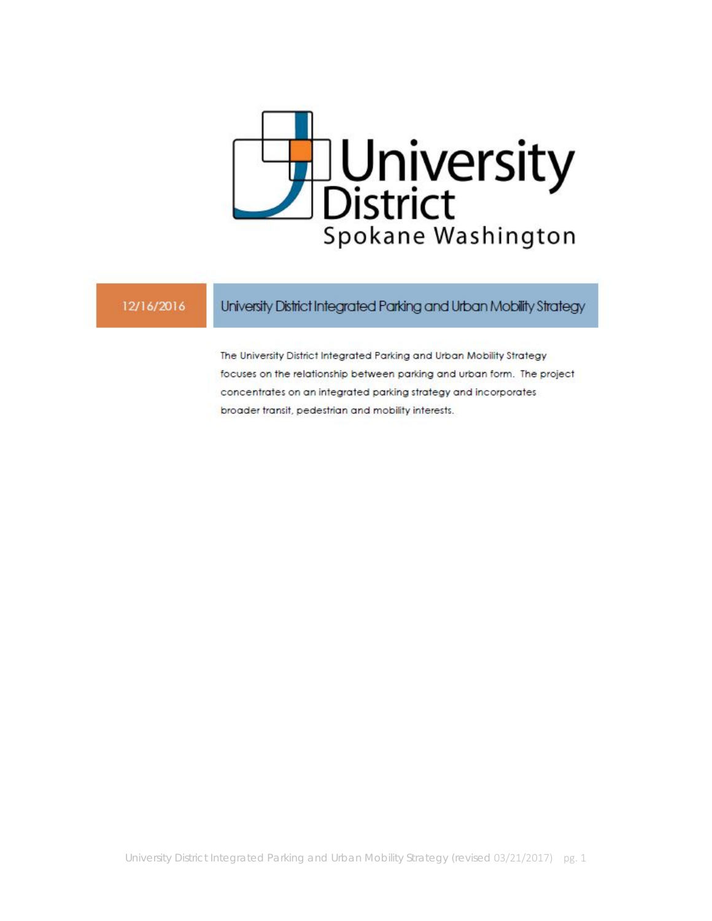

12/16/2016

#### University District Integrated Parking and Urban Mobility Strategy

The University District Integrated Parking and Urban Mobility Strategy focuses on the relationship between parking and urban form. The project concentrates on an integrated parking strategy and incorporates broader transit, pedestrian and mobility interests.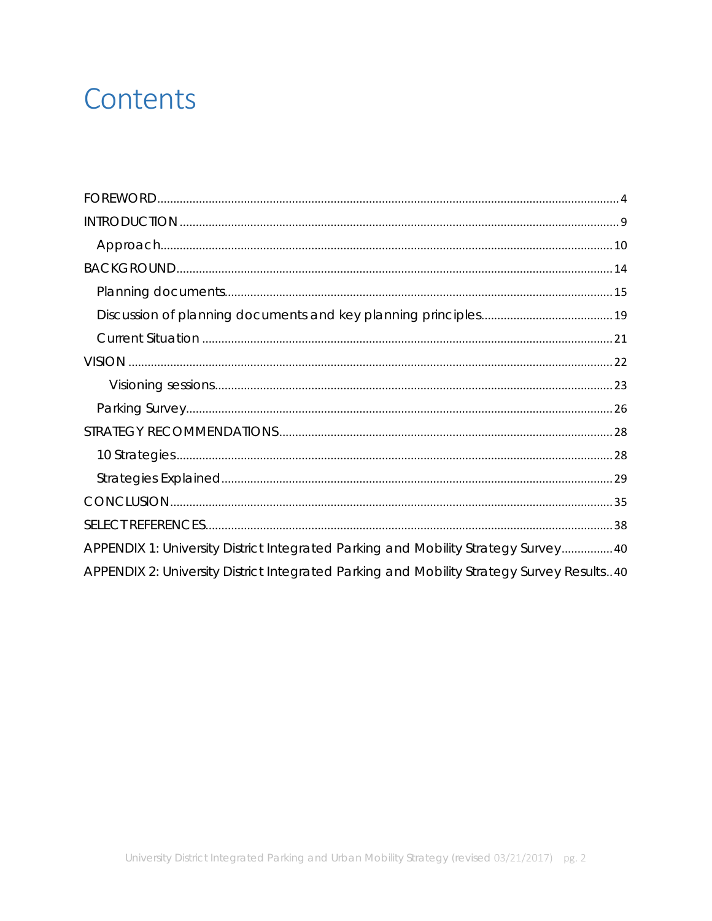# Contents

| APPENDIX 1: University District Integrated Parking and Mobility Strategy Survey 40        |
|-------------------------------------------------------------------------------------------|
| APPENDIX 2: University District Integrated Parking and Mobility Strategy Survey Results40 |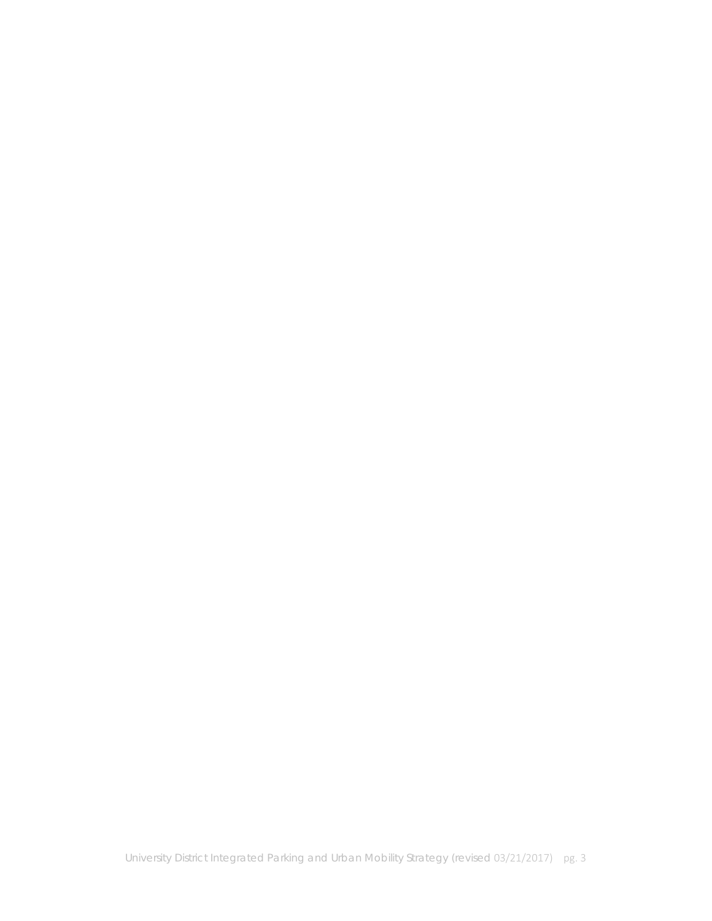University District Integrated Parking and Urban Mobility Strategy (revised 03/21/2017) pg. 3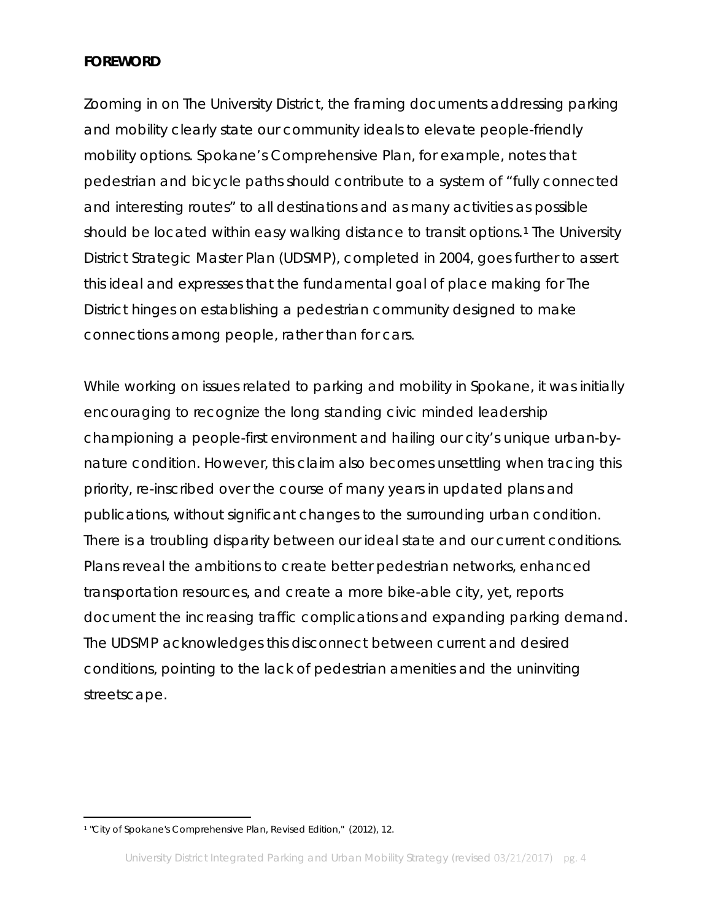## <span id="page-3-0"></span>**FOREWORD**

Zooming in on The University District, the framing documents addressing parking and mobility clearly state our community ideals to elevate people-friendly mobility options. Spokane's Comprehensive Plan, for example, notes that pedestrian and bicycle paths should contribute to a system of "fully connected and interesting routes" to all destinations and as many activities as possible should be located within easy walking distance to transit options.<sup>[1](#page-3-1)</sup> The University District Strategic Master Plan (UDSMP), completed in 2004, goes further to assert this ideal and expresses that the fundamental goal of place making for The District hinges on establishing a pedestrian community designed to make connections *among* people, rather than *for* cars.

While working on issues related to parking and mobility in Spokane, it was initially encouraging to recognize the long standing civic minded leadership championing a people-first environment and hailing our city's unique urban-bynature condition. However, this claim also becomes unsettling when tracing this priority, re-inscribed over the course of many years in updated plans and publications, without significant changes to the surrounding urban condition. There is a troubling disparity between our ideal state and our current conditions. Plans reveal the ambitions to create better pedestrian networks, enhanced transportation resources, and create a more bike-able city, yet, reports document the increasing traffic complications and expanding parking demand. The UDSMP acknowledges this disconnect between current and desired conditions, pointing to the lack of pedestrian amenities and the uninviting streetscape.

<span id="page-3-1"></span>l <sup>1</sup> "City of Spokane's Comprehensive Plan, Revised Edition," (2012), 12.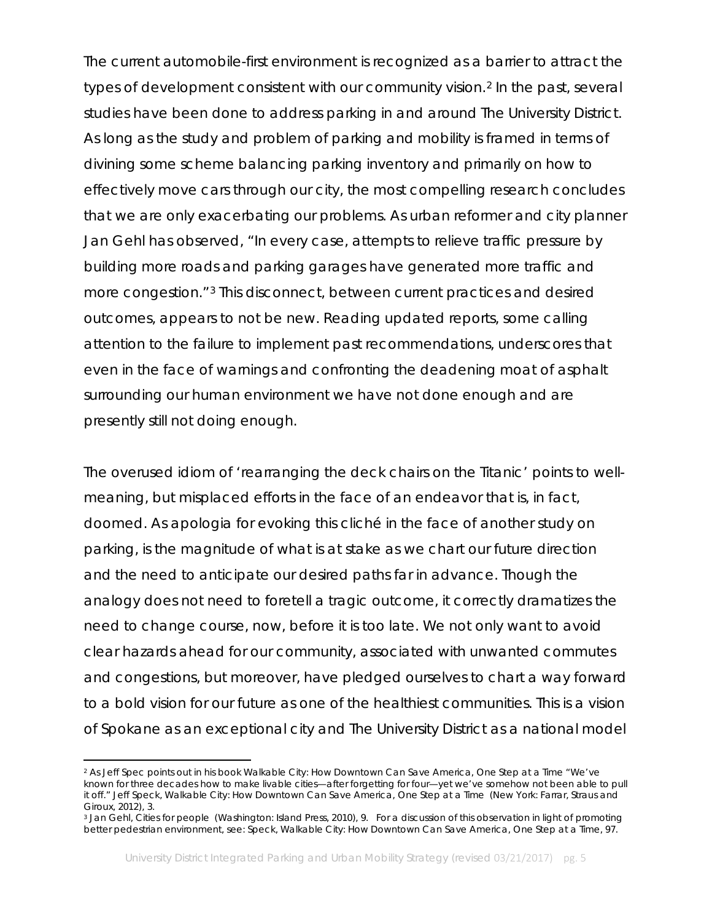The current automobile-first environment is recognized as a barrier to attract the types of development consistent with our community vision.[2](#page-4-0) In the past, several studies have been done to address parking in and around The University District. As long as the study and problem of parking and mobility is framed in terms of divining some scheme balancing parking inventory and primarily on how to effectively move cars through our city, the most compelling research concludes that we are only exacerbating our problems. As urban reformer and city planner Jan Gehl has observed, "In every case, attempts to relieve traffic pressure by building more roads and parking garages have generated more traffic and more congestion."[3](#page-4-1) This disconnect, between current practices and desired outcomes, appears to not be new. Reading updated reports, some calling attention to the failure to implement past recommendations, underscores that even in the face of warnings and confronting the deadening moat of asphalt surrounding our human environment we have not done enough and are presently still not doing enough.

The overused idiom of 'rearranging the deck chairs on the Titanic' points to wellmeaning, but misplaced efforts in the face of an endeavor that is, in fact, doomed. As apologia for evoking this cliché in the face of another study on parking, is the magnitude of what is at stake as we chart our future direction and the need to anticipate our desired paths far in advance. Though the analogy does not need to foretell a tragic outcome, it correctly dramatizes the need to change course, now, before it is too late. We not only want to avoid clear hazards ahead for our community, associated with unwanted commutes and congestions, but moreover, have pledged ourselves to chart a way forward to a bold vision for our future as one of the healthiest communities. This is a vision of Spokane as an exceptional city and The University District as a national model

l

<span id="page-4-0"></span><sup>2</sup> As Jeff Spec points out in his book *Walkable City: How Downtown Can Save America, One Step at a Time* "We've known for three decades how to make livable cities—after forgetting for four—yet we've somehow not been able to pull it off." Jeff Speck, *Walkable City: How Downtown Can Save America, One Step at a Time* (New York: Farrar, Straus and Giroux, 2012), 3.

<span id="page-4-1"></span><sup>3</sup> Jan Gehl, *Cities for people* (Washington: Island Press, 2010), 9. For a discussion of this observation in light of promoting better pedestrian environment, see: Speck, *Walkable City: How Downtown Can Save America, One Step at a Time*, 97.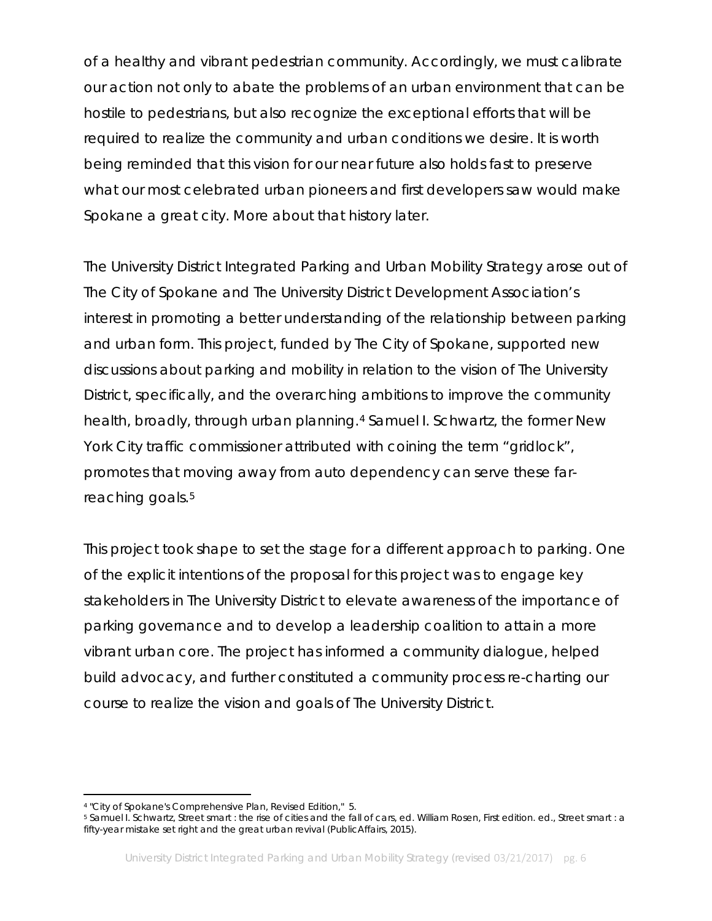of a healthy and vibrant pedestrian community. Accordingly, we must calibrate our action not only to abate the problems of an urban environment that can be hostile to pedestrians, but also recognize the exceptional efforts that will be required to realize the community and urban conditions we desire. It is worth being reminded that this vision for our near future also holds fast to preserve what our most celebrated urban pioneers and first developers saw would make Spokane a great city. More about that history later.

The *University District Integrated Parking and Urban Mobility Strategy* arose out of The City of Spokane and The University District Development Association's interest in promoting a better understanding of the relationship between parking and urban form. This project, funded by The City of Spokane, supported new discussions about parking and mobility in relation to the vision of The University District, specifically, and the overarching ambitions to improve the community health, broadly, through urban planning.<sup>[4](#page-5-0)</sup> Samuel I. Schwartz, the former New York City traffic commissioner attributed with coining the term "gridlock", promotes that moving away from auto dependency can serve these far-reaching goals.<sup>[5](#page-5-1)</sup>

This project took shape to set the stage for a different approach to parking. One of the explicit intentions of the proposal for this project was to engage key stakeholders in The University District to elevate awareness of the importance of parking governance and to develop a leadership coalition to attain a more vibrant urban core. The project has informed a community dialogue, helped build advocacy, and further constituted a community process re-charting our course to realize the vision and goals of The University District.

l

<span id="page-5-0"></span><sup>4</sup> "City of Spokane's Comprehensive Plan, Revised Edition," 5.

<span id="page-5-1"></span><sup>5</sup> Samuel I. Schwartz, *Street smart : the rise of cities and the fall of cars*, ed. William Rosen, First edition. ed., Street smart : a fifty-year mistake set right and the great urban revival (PublicAffairs, 2015).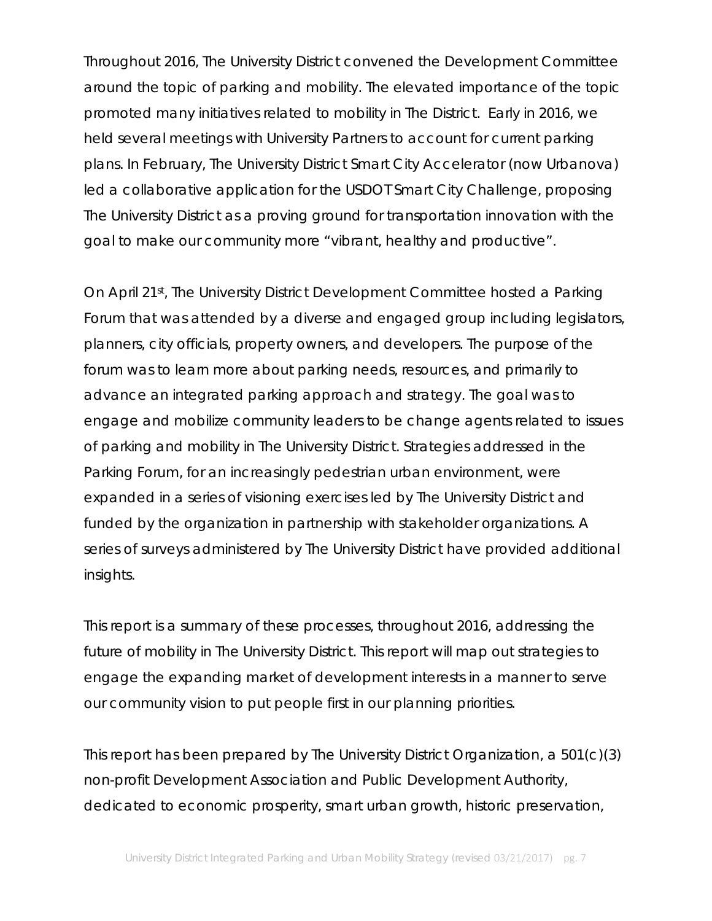Throughout 2016, The University District convened the Development Committee around the topic of parking and mobility. The elevated importance of the topic promoted many initiatives related to mobility in The District. Early in 2016, we held several meetings with University Partners to account for current parking plans. In February, The University District Smart City Accelerator (now Urbanova) led a collaborative application for the USDOT Smart City Challenge, proposing The University District as a proving ground for transportation innovation with the goal to make our community more "vibrant, healthy and productive".

On April 21st, The University District Development Committee hosted a Parking Forum that was attended by a diverse and engaged group including legislators, planners, city officials, property owners, and developers. The purpose of the forum was to learn more about parking needs, resources, and primarily to advance an integrated parking approach and strategy. The goal was to engage and mobilize community leaders to be change agents related to issues of parking and mobility in The University District. Strategies addressed in the Parking Forum, for an increasingly pedestrian urban environment, were expanded in a series of visioning exercises led by The University District and funded by the organization in partnership with stakeholder organizations. A series of surveys administered by The University District have provided additional insights.

This report is a summary of these processes, throughout 2016, addressing the future of mobility in The University District. This report will map out strategies to engage the expanding market of development interests in a manner to serve our community vision to put people first in our planning priorities.

This report has been prepared by The University District Organization, a 501(c)(3) non-profit Development Association and Public Development Authority, dedicated to economic prosperity, smart urban growth, historic preservation,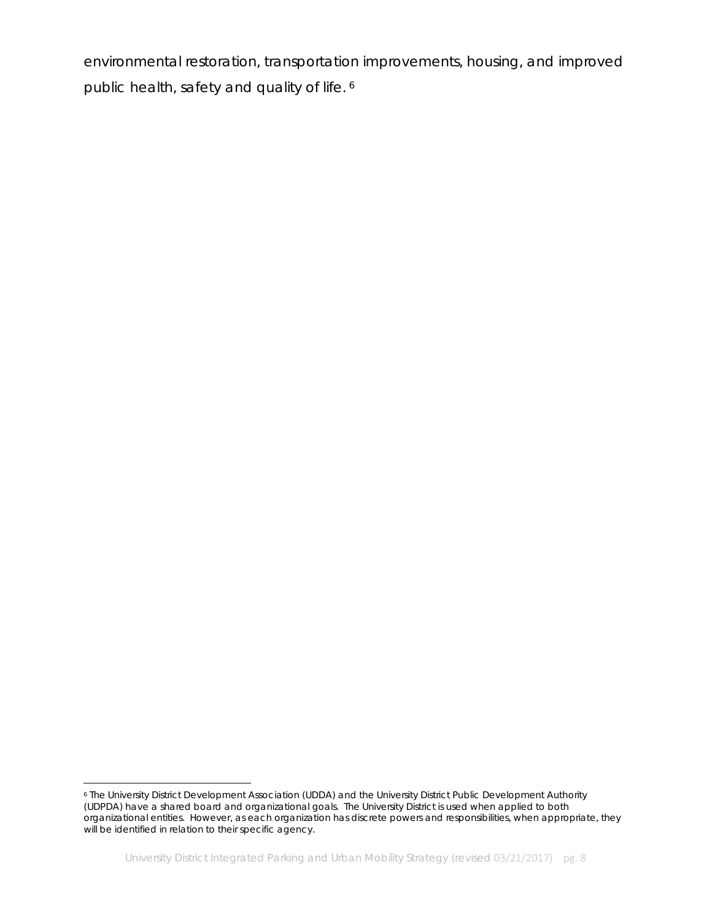environmental restoration, transportation improvements, housing, and improved public health, safety and quality of life. [6](#page-7-0)

 $\overline{a}$ 

<span id="page-7-0"></span><sup>6</sup> The University District Development Association (UDDA) and the University District Public Development Authority (UDPDA) have a shared board and organizational goals. The University District is used when applied to both organizational entities. However, as each organization has discrete powers and responsibilities, when appropriate, they will be identified in relation to their specific agency.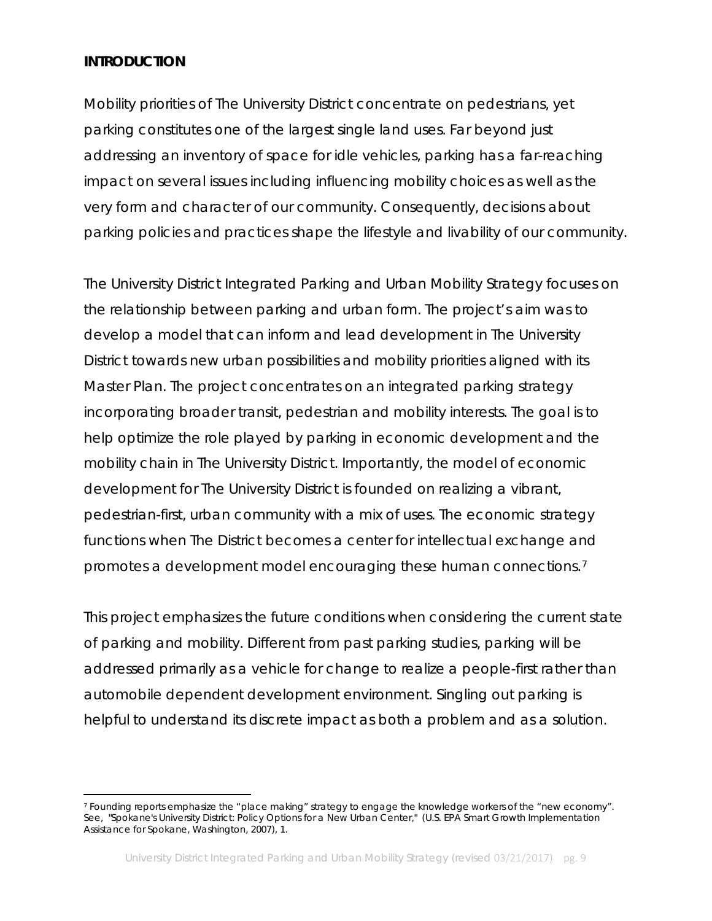#### <span id="page-8-0"></span>**INTRODUCTION**

l

Mobility priorities of The University District concentrate on pedestrians, yet parking constitutes one of the largest single land uses. Far beyond just addressing an inventory of space for idle vehicles, parking has a far-reaching impact on several issues including influencing mobility choices as well as the very form and character of our community. Consequently, decisions about parking policies and practices shape the lifestyle and livability of our community.

The *University District Integrated Parking and Urban Mobility Strategy* focuses on the relationship between parking and urban form. The project's aim was to develop a model that can inform and lead development in The University District towards new urban possibilities and mobility priorities aligned with its Master Plan. The project concentrates on an integrated parking strategy incorporating broader transit, pedestrian and mobility interests. The goal is to help optimize the role played by parking in economic development and the mobility chain in The University District. Importantly, the model of economic development for The University District is founded on realizing a vibrant, pedestrian-first, urban community with a mix of uses. The economic strategy functions when The District becomes a center for intellectual exchange and promotes a development model encouraging these human connections.[7](#page-8-1)

This project emphasizes the future conditions when considering the current state of parking and mobility. Different from past parking studies, parking will be addressed primarily as a vehicle for change to realize a people-first rather than automobile dependent development environment. Singling out parking is helpful to understand its discrete impact as both a problem and as a solution.

<span id="page-8-1"></span><sup>7</sup> Founding reports emphasize the "place making" strategy to engage the knowledge workers of the "new economy". See, "Spokane's University District: Policy Options for a New Urban Center," (U.S. EPA Smart Growth Implementation Assistance for Spokane, Washington, 2007), 1.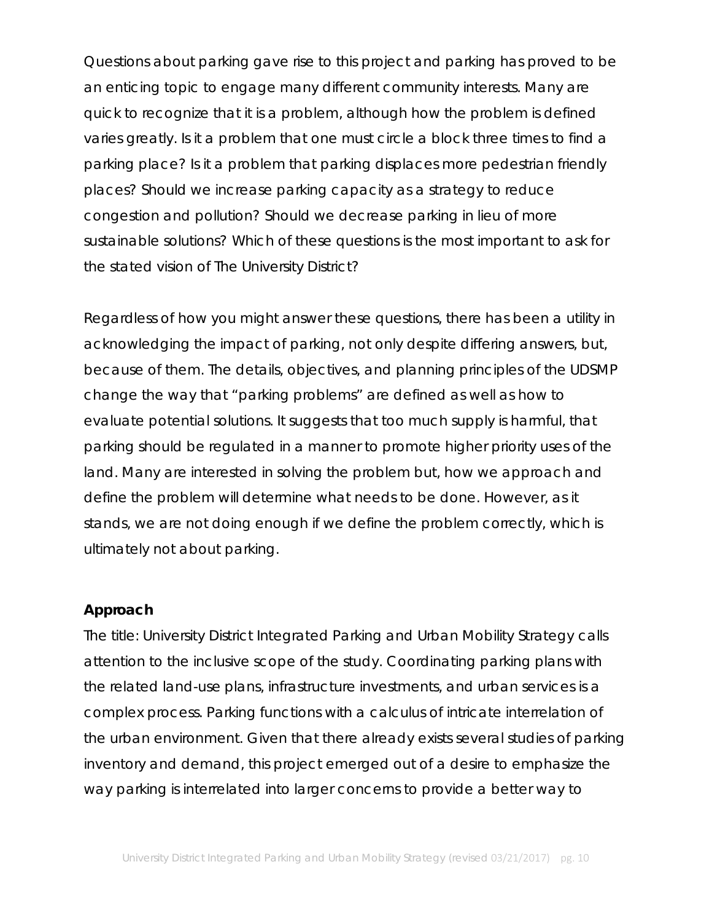Questions about parking gave rise to this project and parking has proved to be an enticing topic to engage many different community interests. Many are quick to recognize that it is a problem, although how the problem is defined varies greatly. Is it a problem that one must circle a block three times to find a parking place? Is it a problem that parking displaces more pedestrian friendly places? Should we increase parking capacity as a strategy to reduce congestion and pollution? Should we decrease parking in lieu of more sustainable solutions? Which of these questions is the most important to ask for the stated vision of The University District?

Regardless of how you might answer these questions, there has been a utility in acknowledging the impact of parking, not only despite differing answers, but, because of them. The details, objectives, and planning principles of the UDSMP change the way that "parking problems" are defined as well as how to evaluate potential solutions. It suggests that too much supply is harmful, that parking should be regulated in a manner to promote higher priority uses of the land. Many are interested in solving the problem but, how we approach and define the problem will determine what needs to be done. However, as it stands, we are not doing enough if we define the problem correctly, which is ultimately not about parking.

#### <span id="page-9-0"></span>**Approach**

The title: *University District Integrated Parking and Urban Mobility Strategy* calls attention to the inclusive scope of the study. Coordinating parking plans with the related land-use plans, infrastructure investments, and urban services is a complex process. Parking functions with a calculus of intricate interrelation of the urban environment. Given that there already exists several studies of parking inventory and demand, this project emerged out of a desire to emphasize the way parking is interrelated into larger concerns to provide a better way to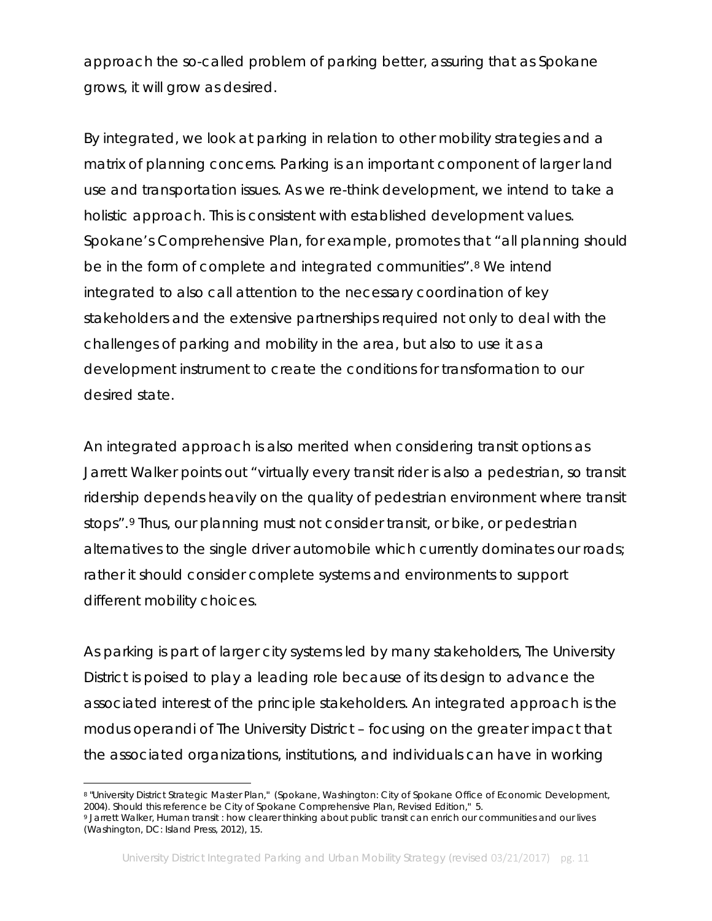approach the so-called problem of parking better, assuring that as Spokane grows, it will grow as desired.

By *integrated*, we look at parking in relation to other mobility strategies and a matrix of planning concerns. Parking is an important component of larger land use and transportation issues. As we re-think development, we intend to take a holistic approach. This is consistent with established development values. Spokane's Comprehensive Plan, for example, promotes that "all planning should be in the form of complete and integrated communities".[8](#page-10-0) We intend *integrated* to also call attention to the necessary coordination of key stakeholders and the extensive partnerships required not only to deal with the challenges of parking and mobility in the area, but also to use it as a development instrument to create the conditions for transformation to our desired state.

An integrated approach is also merited when considering transit options as Jarrett Walker points out "virtually every transit rider is also a pedestrian, so transit ridership depends heavily on the quality of pedestrian environment where transit stops".[9](#page-10-1) Thus, our planning must not consider transit, *or* bike, *or* pedestrian alternatives to the single driver automobile which currently dominates our roads; rather it should consider complete systems and environments to support different mobility choices.

As parking is part of larger city systems led by many stakeholders, The University District is poised to play a leading role because of its design to advance the associated interest of the principle stakeholders. An integrated approach is the modus operandi of The University District – focusing on the greater impact that the associated organizations, institutions, and individuals can have in working

 $\overline{a}$ 

<span id="page-10-0"></span><sup>8 &</sup>quot;University District Strategic Master Plan," (Spokane, Washington: City of Spokane Office of Economic Development, 2004). Should this reference be City of Spokane Comprehensive Plan, Revised Edition," 5.

<span id="page-10-1"></span><sup>9</sup> Jarrett Walker, *Human transit : how clearer thinking about public transit can enrich our communities and our lives* (Washington, DC: Island Press, 2012), 15.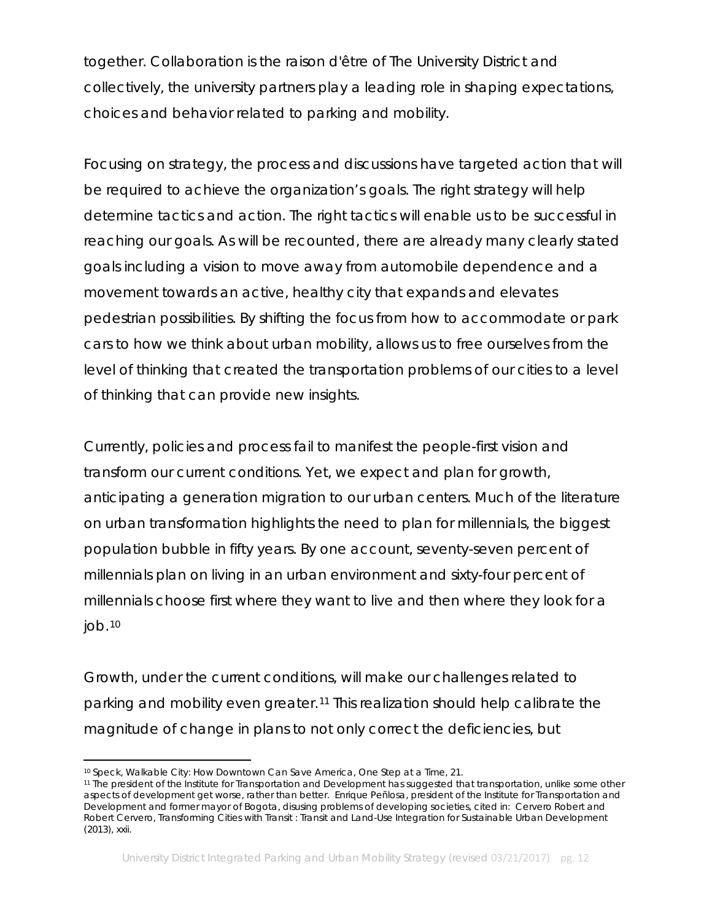together. Collaboration is the *raison d'être* of The University District and collectively, the university partners play a leading role in shaping expectations, choices and behavior related to parking and mobility.

Focusing on strategy, the process and discussions have targeted action that will be required to achieve the organization's goals. The right strategy will help determine tactics and action. The right tactics will enable us to be successful in reaching our goals. As will be recounted, there are already many clearly stated goals including a vision to move away from automobile dependence and a movement towards an active, healthy city that expands and elevates pedestrian possibilities. By shifting the focus from how to accommodate or park cars to how we think about urban mobility, allows us to free ourselves from the level of thinking that created the transportation problems of our cities to a level of thinking that can provide new insights.

Currently, policies and process fail to manifest the people-first vision and transform our current conditions. Yet, we expect and plan for growth, anticipating a generation migration to our urban centers. Much of the literature on urban transformation highlights the need to plan for millennials, the biggest population bubble in fifty years. By one account, seventy-seven percent of millennials plan on living in an urban environment and sixty-four percent of millennials choose first where they want to live and then where they look for a job.[10](#page-11-0)

Growth, under the current conditions, will make our challenges related to parking and mobility even greater.[11](#page-11-1) This realization should help calibrate the magnitude of change in plans to not only correct the deficiencies, but

l

<span id="page-11-0"></span><sup>10</sup> Speck, *Walkable City: How Downtown Can Save America, One Step at a Time*, 21.

<span id="page-11-1"></span><sup>11</sup> The president of the Institute for Transportation and Development has suggested that transportation, unlike some other aspects of development get worse, rather than better. Enrique Peñlosa, president of the Institute for Transportation and Development and former mayor of Bogota, disusing problems of developing societies, cited in: Cervero Robert and Robert Cervero, *Transforming Cities with Transit : Transit and Land-Use Integration for Sustainable Urban Development* (2013), xxii.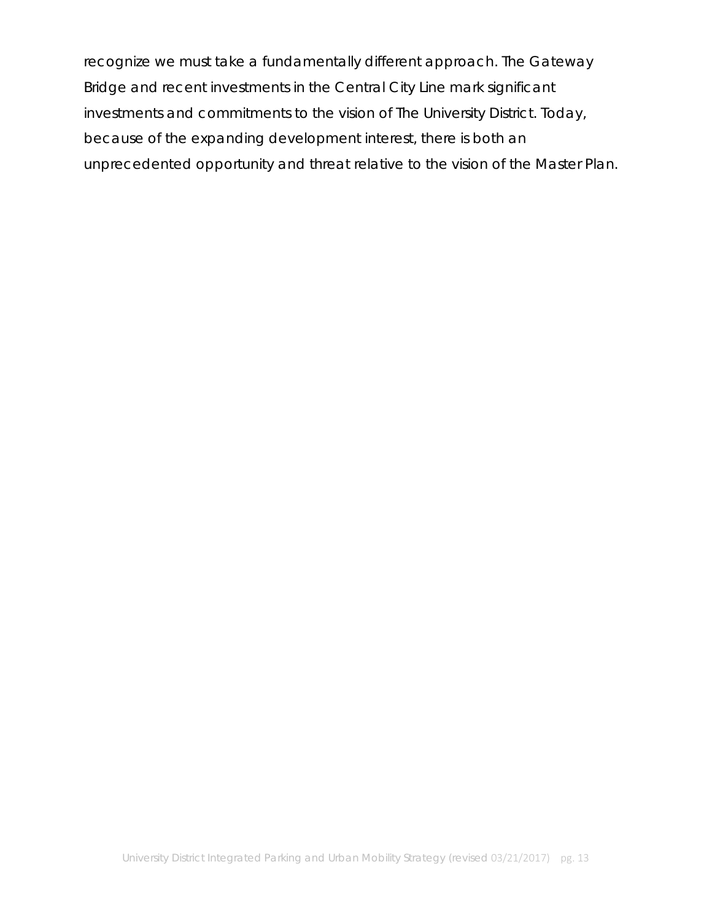recognize we must take a fundamentally different approach. The Gateway Bridge and recent investments in the Central City Line mark significant investments and commitments to the vision of The University District. Today, because of the expanding development interest, there is both an unprecedented opportunity and threat relative to the vision of the Master Plan.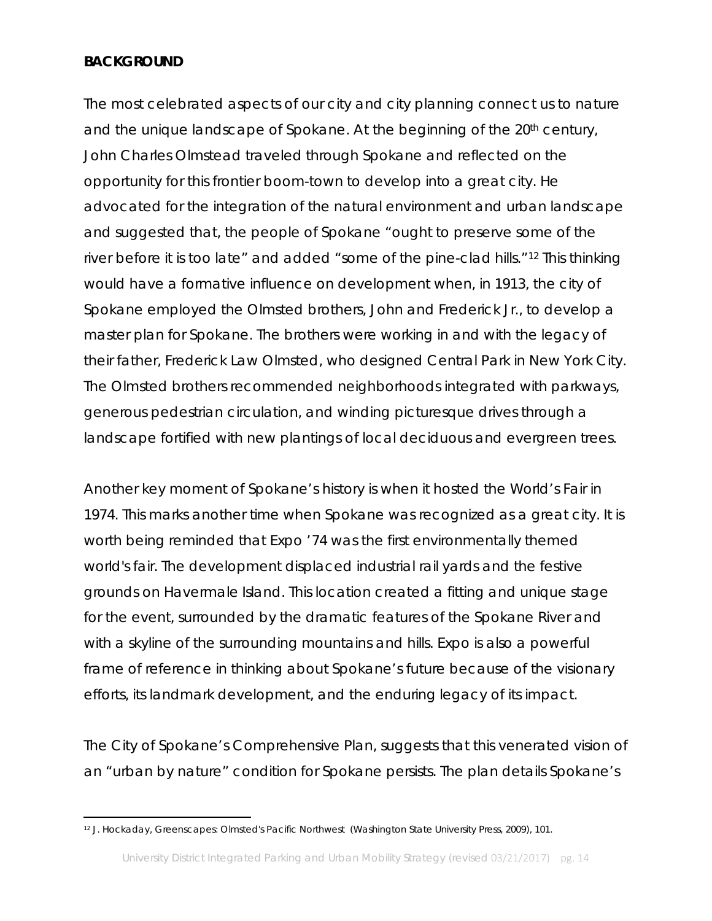#### <span id="page-13-0"></span>**BACKGROUND**

The most celebrated aspects of our city and city planning connect us to nature and the unique landscape of Spokane. At the beginning of the 20<sup>th</sup> century, John Charles Olmstead traveled through Spokane and reflected on the opportunity for this frontier boom-town to develop into a great city. He advocated for the integration of the natural environment and urban landscape and suggested that, the people of Spokane "ought to preserve some of the river before it is too late" and added "some of the pine-clad hills.["12](#page-13-1) This thinking would have a formative influence on development when, in 1913, the city of Spokane employed the Olmsted brothers, John and Frederick Jr., to develop a master plan for Spokane. The brothers were working in and with the legacy of their father, Frederick Law Olmsted, who designed Central Park in New York City. The Olmsted brothers recommended neighborhoods integrated with parkways, generous pedestrian circulation, and winding picturesque drives through a landscape fortified with new plantings of local deciduous and evergreen trees.

Another key moment of Spokane's history is when it hosted the World's Fair in 1974. This marks another time when Spokane was recognized as a great city. It is worth being reminded that Expo '74 was the first environmentally themed world's fair. The development displaced industrial rail yards and the festive grounds on Havermale Island. This location created a fitting and unique stage for the event, surrounded by the dramatic features of the Spokane River and with a skyline of the surrounding mountains and hills. Expo is also a powerful frame of reference in thinking about Spokane's future because of the visionary efforts, its landmark development, and the enduring legacy of its impact.

The City of Spokane's Comprehensive Plan, suggests that this venerated vision of an "urban by nature" condition for Spokane persists. The plan details Spokane's

<span id="page-13-1"></span>l <sup>12</sup> J. Hockaday, *Greenscapes: Olmsted's Pacific Northwest* (Washington State University Press, 2009), 101.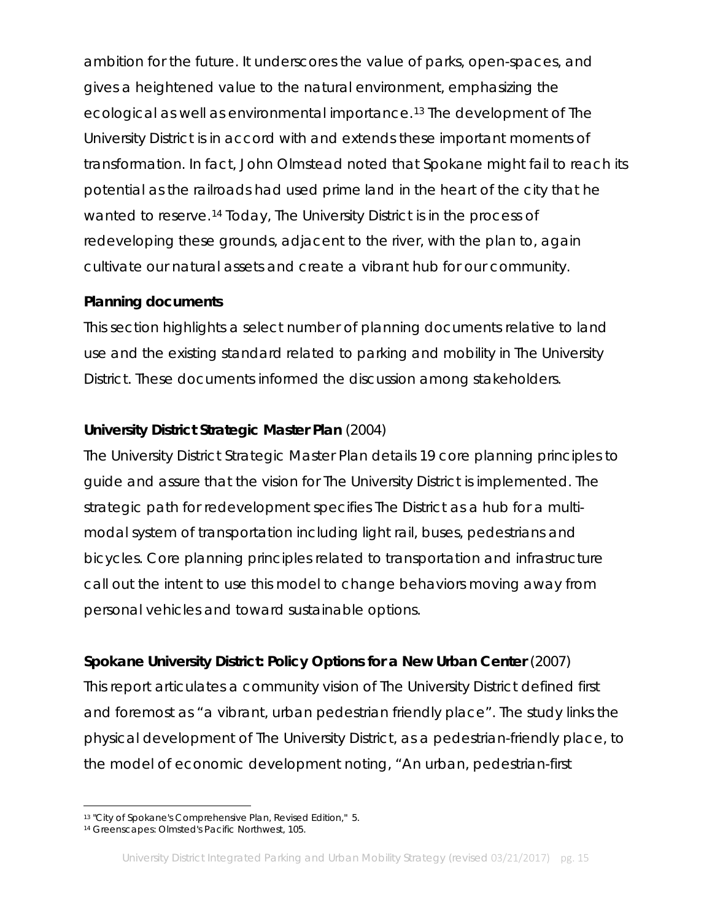ambition for the future. It underscores the value of parks, open-spaces, and gives a heightened value to the natural environment, emphasizing the ecological as well as environmental importance.[13](#page-14-1) The development of The University District is in accord with and extends these important moments of transformation. In fact, John Olmstead noted that Spokane might fail to reach its potential as the railroads had used prime land in the heart of the city that he wanted to reserve.[14](#page-14-2) Today, The University District is in the process of redeveloping these grounds, adjacent to the river, with the plan to, again cultivate our natural assets and create a vibrant hub for our community.

#### <span id="page-14-0"></span>**Planning documents**

This section highlights a select number of planning documents relative to land use and the existing standard related to parking and mobility in The University District. These documents informed the discussion among stakeholders.

## **University District Strategic Master Plan** (2004)

The University District Strategic Master Plan details 19 core planning principles to guide and assure that the vision for The University District is implemented. The strategic path for redevelopment specifies The District as a hub for a multimodal system of transportation including light rail, buses, pedestrians and bicycles. Core planning principles related to transportation and infrastructure call out the intent to use this model to change behaviors moving away from personal vehicles and toward sustainable options.

## **Spokane University District: Policy Options for a New Urban Center** (2007)

This report articulates a community vision of The University District defined first and foremost as "a vibrant, urban pedestrian friendly place". The study links the physical development of The University District, as a pedestrian-friendly place, to the model of economic development noting, "An urban, pedestrian-first

 $\overline{a}$ 

<span id="page-14-1"></span><sup>&</sup>lt;sup>13</sup> "City of Spokane's Comprehensive Plan, Revised Edition," 5.

<span id="page-14-2"></span><sup>14</sup> *Greenscapes: Olmsted's Pacific Northwest*, 105.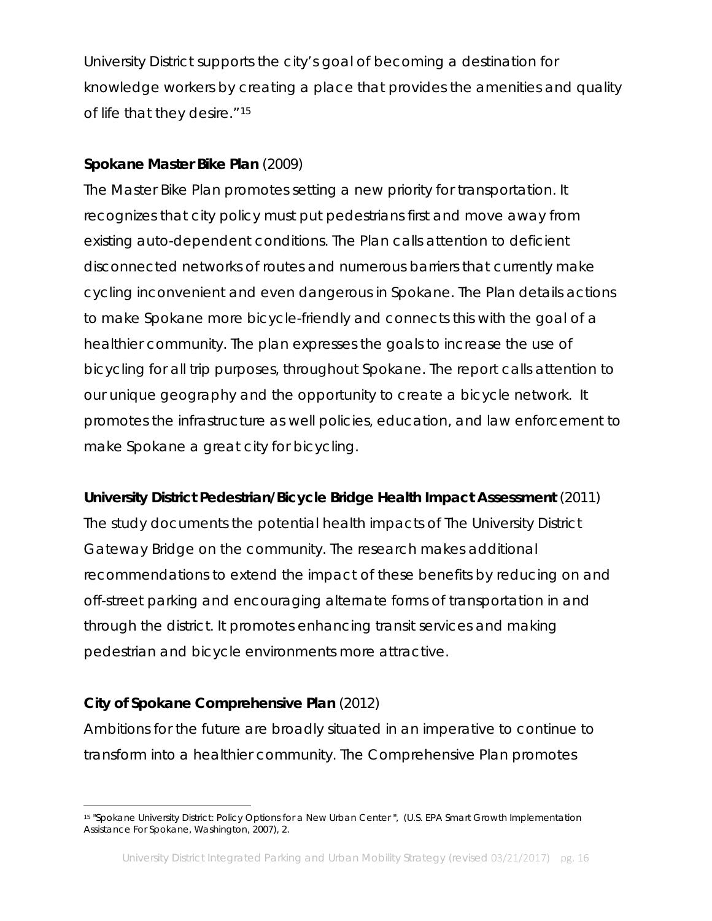University District supports the city's goal of becoming a destination for knowledge workers by creating a place that provides the amenities and quality of life that they desire."[15](#page-15-0)

## **Spokane Master Bike Plan** (2009)

The Master Bike Plan promotes setting a new priority for transportation. It recognizes that city policy must put pedestrians first and move away from existing auto-dependent conditions. The Plan calls attention to deficient disconnected networks of routes and numerous barriers that currently make cycling inconvenient and even dangerous in Spokane. The Plan details actions to make Spokane more bicycle-friendly and connects this with the goal of a healthier community. The plan expresses the goals to increase the use of bicycling for all trip purposes, throughout Spokane. The report calls attention to our unique geography and the opportunity to create a bicycle network. It promotes the infrastructure as well policies, education, and law enforcement to make Spokane a great city for bicycling.

## **University District Pedestrian/Bicycle Bridge Health Impact Assessment** (2011)

The study documents the potential health impacts of The University District Gateway Bridge on the community. The research makes additional recommendations to extend the impact of these benefits by reducing on and off-street parking and encouraging alternate forms of transportation in and through the district. It promotes enhancing transit services and making pedestrian and bicycle environments more attractive.

## **City of Spokane Comprehensive Plan** (2012)

Ambitions for the future are broadly situated in an imperative to continue to transform into a healthier community. The Comprehensive Plan promotes

<span id="page-15-0"></span> $\overline{a}$ <sup>15</sup> "Spokane University District: Policy Options for a New Urban Center ", (U.S. EPA Smart Growth Implementation Assistance For Spokane, Washington, 2007), 2.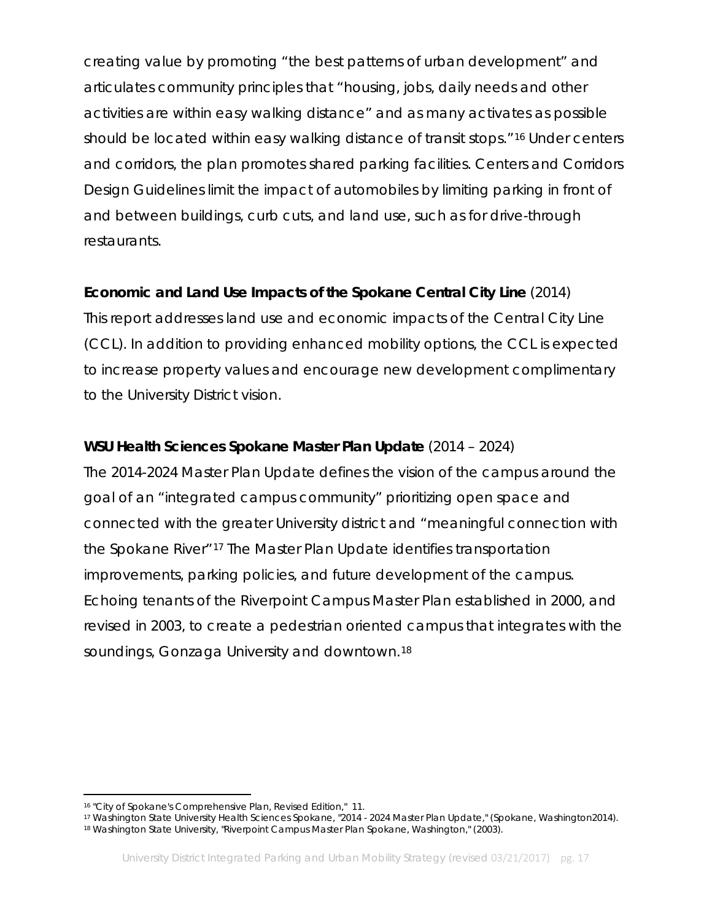creating value by promoting "the best patterns of urban development" and articulates community principles that "housing, jobs, daily needs and other activities are within easy walking distance" and as many activates as possible should be located within easy walking distance of transit stops."[16](#page-16-0) Under centers and corridors, the plan promotes shared parking facilities. *Centers and Corridors Design Guidelines* limit the impact of automobiles by limiting parking in front of and between buildings, curb cuts, and land use, such as for drive-through restaurants.

## **Economic and Land Use Impacts of the Spokane Central City Line** (2014)

This report addresses land use and economic impacts of the Central City Line (CCL). In addition to providing enhanced mobility options, the CCL is expected to increase property values and encourage new development complimentary to the University District vision.

## **WSU Health Sciences Spokane Master Plan Update** (2014 – 2024)

The 2014-2024 Master Plan Update defines the vision of the campus around the goal of an "integrated campus community" prioritizing open space and connected with the greater University district and "meaningful connection with the Spokane River"[17](#page-16-1) The Master Plan Update identifies transportation improvements, parking policies, and future development of the campus. Echoing tenants of the Riverpoint Campus Master Plan established in 2000, and revised in 2003, to create a pedestrian oriented campus that integrates with the soundings, Gonzaga University and downtown.[18](#page-16-2)

l

<span id="page-16-0"></span><sup>&</sup>lt;sup>16</sup> "City of Spokane's Comprehensive Plan, Revised Edition," 11.

<span id="page-16-1"></span><sup>17</sup> Washington State University Health Sciences Spokane, "2014 - 2024 Master Plan Update," (Spokane, Washington2014).

<span id="page-16-2"></span><sup>18</sup> Washington State University, "Riverpoint Campus Master Plan Spokane, Washington," (2003).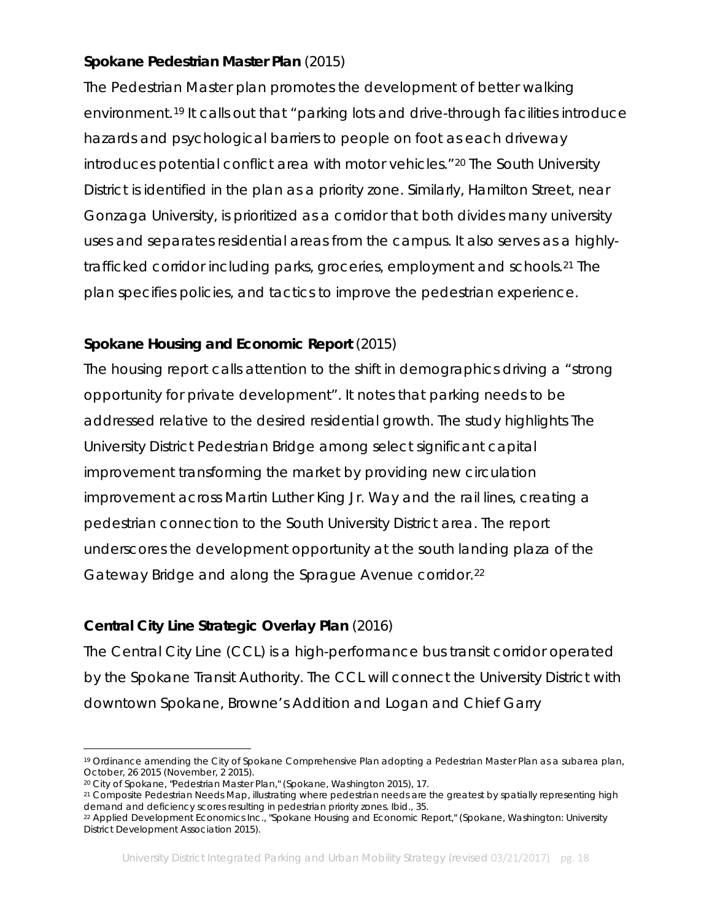## **Spokane Pedestrian Master Plan** (2015)

The Pedestrian Master plan promotes the development of better walking environment.[19](#page-17-0) It calls out that "parking lots and drive-through facilities introduce hazards and psychological barriers to people on foot as each driveway introduces potential conflict area with motor vehicles."[20](#page-17-1) The South University District is identified in the plan as a priority zone. Similarly, Hamilton Street, near Gonzaga University, is prioritized as a corridor that both divides many university uses and separates residential areas from the campus. It also serves as a highlytrafficked corridor including parks, groceries, employment and schools[.21](#page-17-2) The plan specifies policies, and tactics to improve the pedestrian experience.

## **Spokane Housing and Economic Report** (2015)

The housing report calls attention to the shift in demographics driving a "strong opportunity for private development". It notes that parking needs to be addressed relative to the desired residential growth. The study highlights The University District Pedestrian Bridge among select significant capital improvement transforming the market by providing new circulation improvement across Martin Luther King Jr. Way and the rail lines, creating a pedestrian connection to the South University District area. The report underscores the development opportunity at the south landing plaza of the Gateway Bridge and along the Sprague Avenue corridor.[22](#page-17-3)

## **Central City Line Strategic Overlay Plan** (2016)

The Central City Line (CCL) is a high-performance bus transit corridor operated by the Spokane Transit Authority. The CCL will connect the University District with downtown Spokane, Browne's Addition and Logan and Chief Garry

l

<span id="page-17-0"></span><sup>19</sup> *Ordinance amending the City of Spokane Comprehensive Plan adopting a Pedestrian Master Plan as a subarea plan*, October, 26 2015 (November, 2 2015).

<span id="page-17-1"></span><sup>20</sup> City of Spokane, "Pedestrian Master Plan," (Spokane, Washington 2015), 17.

<span id="page-17-2"></span><sup>&</sup>lt;sup>21</sup> Composite Pedestrian Needs Map, illustrating where pedestrian needs are the greatest by spatially representing high demand and deficiency scores resulting in pedestrian priority zones. Ibid., 35.

<span id="page-17-3"></span><sup>22</sup> Applied Development Economics Inc., "Spokane Housing and Economic Report," (Spokane, Washington: University District Development Association 2015).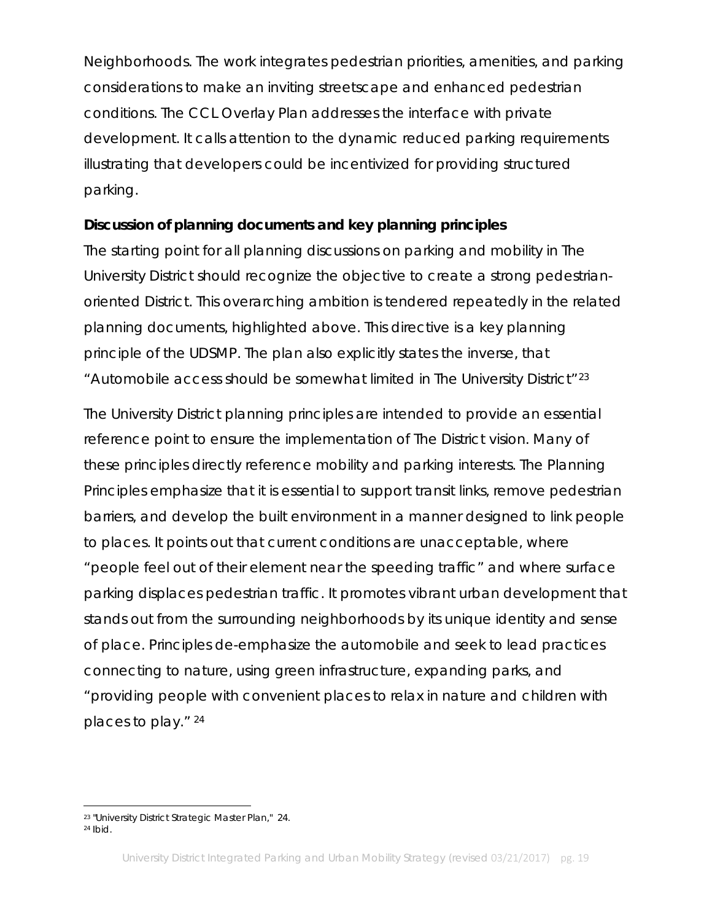Neighborhoods. The work integrates pedestrian priorities, amenities, and parking considerations to make an inviting streetscape and enhanced pedestrian conditions. The CCL Overlay Plan addresses the interface with private development. It calls attention to the dynamic reduced parking requirements illustrating that developers could be incentivized for providing structured parking.

#### <span id="page-18-0"></span>**Discussion of planning documents and key planning principles**

The starting point for all planning discussions on parking and mobility in The University District should recognize the objective to create a strong pedestrianoriented District. This overarching ambition is tendered repeatedly in the related planning documents, highlighted above. This directive is a key planning principle of the UDSMP. The plan also explicitly states the inverse, that "Automobile access should be somewhat limited in The University District"[23](#page-18-1)

The University District planning principles are intended to provide an essential reference point to ensure the implementation of The District vision. Many of these principles directly reference mobility and parking interests. The Planning Principles emphasize that it is essential to support transit links, remove pedestrian barriers, and develop the built environment in a manner designed to link people to places. It points out that current conditions are unacceptable, where "people feel out of their element near the speeding traffic" and where surface parking displaces pedestrian traffic. It promotes vibrant urban development that stands out from the surrounding neighborhoods by its unique identity and sense of place. Principles de-emphasize the automobile and seek to lead practices connecting to nature, using green infrastructure, expanding parks, and "providing people with convenient places to relax in nature and children with places to play." [24](#page-18-2)

 $\overline{a}$ <sup>23</sup> "University District Strategic Master Plan," 24.

<span id="page-18-2"></span><span id="page-18-1"></span><sup>24</sup> Ibid.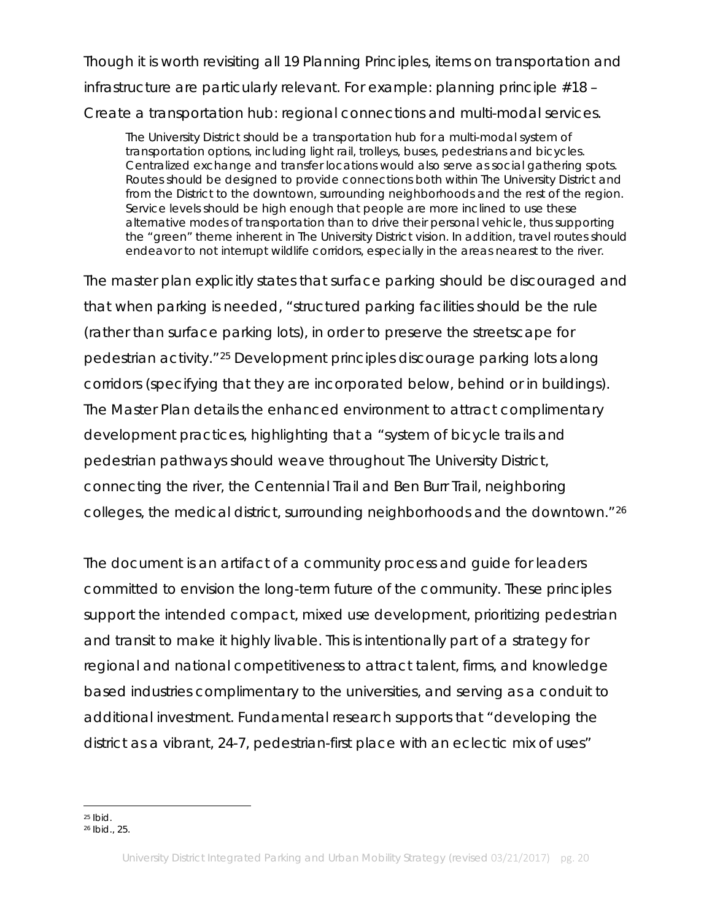Though it is worth revisiting all 19 Planning Principles, items on transportation and infrastructure are particularly relevant. For example: planning principle #18 – Create a transportation hub: regional connections and multi-modal services.

The University District should be a transportation hub for a multi-modal system of transportation options, including light rail, trolleys, buses, pedestrians and bicycles. Centralized exchange and transfer locations would also serve as social gathering spots. Routes should be designed to provide connections both within The University District and from the District to the downtown, surrounding neighborhoods and the rest of the region. Service levels should be high enough that people are more inclined to use these alternative modes of transportation than to drive their personal vehicle, thus supporting the "green" theme inherent in The University District vision. In addition, travel routes should endeavor to not interrupt wildlife corridors, especially in the areas nearest to the river.

The master plan explicitly states that surface parking should be discouraged and that when parking is needed, "structured parking facilities should be the rule (rather than surface parking lots), in order to preserve the streetscape for pedestrian activity."[25](#page-19-0) Development principles discourage parking lots along corridors (specifying that they are incorporated below, behind or in buildings). The Master Plan details the enhanced environment to attract complimentary development practices, highlighting that a "system of bicycle trails and pedestrian pathways should weave throughout The University District, connecting the river, the Centennial Trail and Ben Burr Trail, neighboring colleges, the medical district, surrounding neighborhoods and the downtown."[26](#page-19-1)

The document is an artifact of a community process and guide for leaders committed to envision the long-term future of the community. These principles support the intended compact, mixed use development, prioritizing pedestrian and transit to make it highly livable. This is intentionally part of a strategy for regional and national competitiveness to attract talent, firms, and knowledge based industries complimentary to the universities, and serving as a conduit to additional investment. Fundamental research supports that "developing the district as a vibrant, 24-7, pedestrian-first place with an eclectic mix of uses"

 $\overline{a}$ 

<span id="page-19-0"></span><sup>25</sup> Ibid.

<span id="page-19-1"></span><sup>26</sup> Ibid., 25.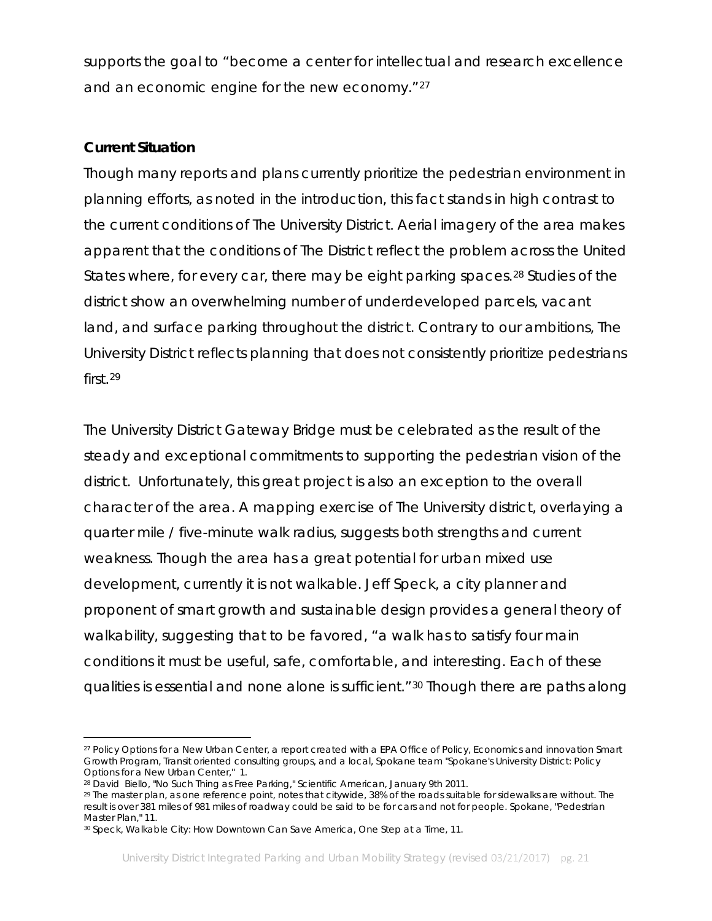supports the goal to "become a center for intellectual and research excellence and an economic engine for the new economy."<sup>[27](#page-20-1)</sup>

#### <span id="page-20-0"></span>**Current Situation**

l

Though many reports and plans currently prioritize the pedestrian environment in planning efforts, as noted in the introduction, this fact stands in high contrast to the current conditions of The University District. Aerial imagery of the area makes apparent that the conditions of The District reflect the problem across the United States where, for every car, there may be eight parking spaces.<sup>[28](#page-20-2)</sup> Studies of the district show an overwhelming number of underdeveloped parcels, vacant land, and surface parking throughout the district. Contrary to our ambitions, The University District reflects planning that does not consistently prioritize pedestrians first.[29](#page-20-3)

The University District Gateway Bridge must be celebrated as the result of the steady and exceptional commitments to supporting the pedestrian vision of the district. Unfortunately, this great project is also an exception to the overall character of the area. A mapping exercise of The University district, overlaying a quarter mile / five-minute walk radius, suggests both strengths and current weakness. Though the area has a great potential for urban mixed use development, currently it is not walkable. Jeff Speck, a city planner and proponent of smart growth and sustainable design provides a general theory of walkability, suggesting that to be favored, "a walk has to satisfy four main conditions it must be useful, safe, comfortable, and interesting. Each of these qualities is essential and none alone is sufficient."<sup>[30](#page-20-4)</sup> Though there are paths along

<span id="page-20-1"></span><sup>27</sup> *Policy Options for a New Urban Center*, a report created with a EPA Office of Policy, Economics and innovation Smart Growth Program, Transit oriented consulting groups, and a local, Spokane team "Spokane's University District: Policy Options for a New Urban Center," 1.

<span id="page-20-2"></span><sup>28</sup> David Biello, "No Such Thing as Free Parking," *Scientific American*, January 9th 2011.

<span id="page-20-3"></span> $29$  The master plan, as one reference point, notes that citywide, 38% of the roads suitable for sidewalks are without. The result is over 381 miles of 981 miles of roadway could be said to be for cars and not for people. Spokane, "Pedestrian Master Plan," 11.

<span id="page-20-4"></span><sup>30</sup> Speck, *Walkable City: How Downtown Can Save America, One Step at a Time*, 11.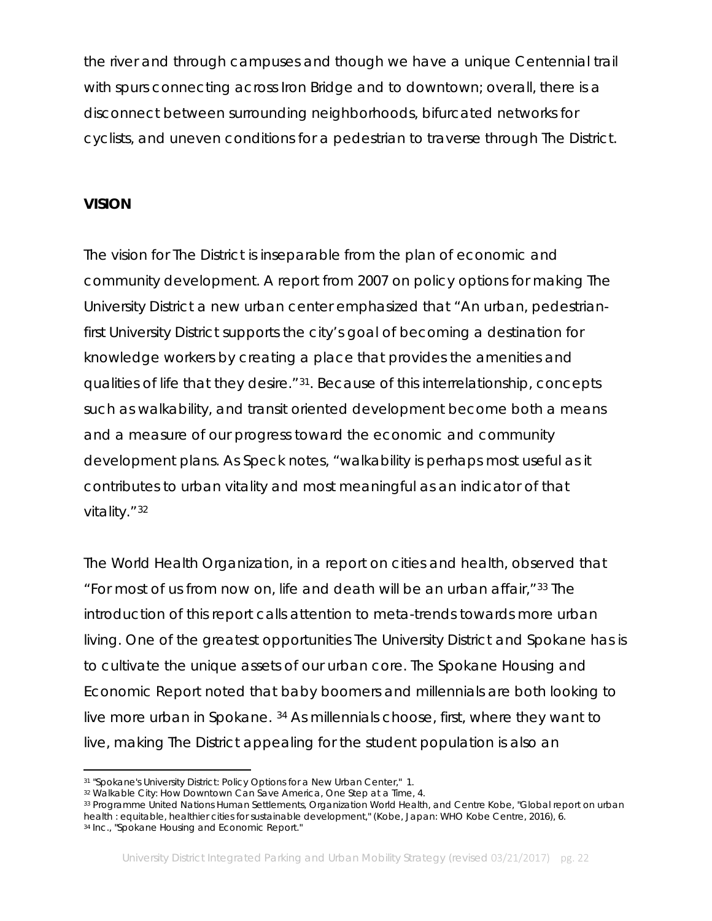the river and through campuses and though we have a unique Centennial trail with spurs connecting across Iron Bridge and to downtown; overall, there is a disconnect between surrounding neighborhoods, bifurcated networks for cyclists, and uneven conditions for a pedestrian to traverse through The District.

#### <span id="page-21-0"></span>**VISION**

 $\overline{\phantom{a}}$ 

The vision for The District is inseparable from the plan of economic and community development. A report from 2007 on policy options for making The University District a new urban center emphasized that "An urban, pedestrianfirst University District supports the city's goal of becoming a destination for knowledge workers by creating a place that provides the amenities and qualities of life that they desire."[31](#page-21-1). Because of this interrelationship, concepts such as walkability, and transit oriented development become both a means and a measure of our progress toward the economic and community development plans. As Speck notes, "walkability is perhaps most useful as it contributes to urban vitality and most meaningful as an indicator of that vitality." [32](#page-21-2)

The World Health Organization, in a report on cities and health, observed that "For most of us from now on, life and death will be an urban affair,"[33](#page-21-3) The introduction of this report calls attention to meta-trends towards more urban living. One of the greatest opportunities The University District and Spokane has is to cultivate the unique assets of our urban core. The *Spokane Housing and Economic Report* noted that baby boomers and millennials are both looking to live more urban in Spokane. [34](#page-21-4) As millennials choose, first, where they want to live, making The District appealing for the student population is also an

<span id="page-21-1"></span><sup>31</sup> "Spokane's University District: Policy Options for a New Urban Center," 1.

<span id="page-21-2"></span><sup>32</sup> *Walkable City: How Downtown Can Save America, One Step at a Time*, 4.

<span id="page-21-4"></span><span id="page-21-3"></span><sup>33</sup> Programme United Nations Human Settlements, Organization World Health, and Centre Kobe, "Global report on urban health : equitable, healthier cities for sustainable development," (Kobe, Japan: WHO Kobe Centre, 2016), 6. <sup>34</sup> Inc., "Spokane Housing and Economic Report."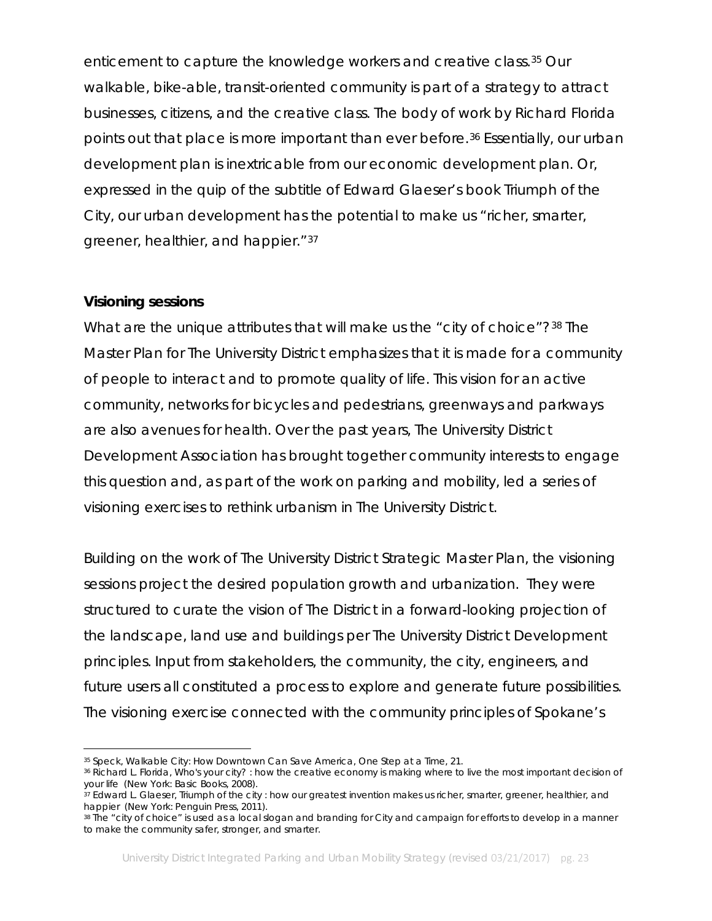enticement to capture the knowledge workers and creative class.[35](#page-22-1) Our walkable, bike-able, transit-oriented community is part of a strategy to attract businesses, citizens, and the creative class. The body of work by Richard Florida points out that place is more important than ever before.[36](#page-22-2) Essentially, our urban development plan is inextricable from our economic development plan. Or, expressed in the quip of the subtitle of Edward Glaeser's book *Triumph of the City*, our urban development has the potential to make us "richer, smarter, greener, healthier, and happier."[37](#page-22-3)

#### <span id="page-22-0"></span>**Visioning sessions**

l

What are the unique attributes that will make us the "city of choice"?<sup>[38](#page-22-4)</sup> The Master Plan for The University District emphasizes that it is made for a community of people to interact and to promote quality of life. This vision for an active community, networks for bicycles and pedestrians, greenways and parkways are also avenues for health. Over the past years, The University District Development Association has brought together community interests to engage this question and, as part of the work on parking and mobility, led a series of visioning exercises to rethink urbanism in The University District.

Building on the work of The University District Strategic Master Plan, the visioning sessions project the desired population growth and urbanization. They were structured to curate the vision of The District in a forward-looking projection of the landscape, land use and buildings per The University District Development principles. Input from stakeholders, the community, the city, engineers, and future users all constituted a process to explore and generate future possibilities. The visioning exercise connected with the community principles of Spokane's

<span id="page-22-1"></span><sup>35</sup> Speck, *Walkable City: How Downtown Can Save America, One Step at a Time*, 21.

<span id="page-22-2"></span><sup>36</sup> Richard L. Florida, *Who's your city? : how the creative economy is making where to live the most important decision of your life* (New York: Basic Books, 2008).

<span id="page-22-3"></span><sup>37</sup> Edward L. Glaeser, *Triumph of the city : how our greatest invention makes us richer, smarter, greener, healthier, and happier* (New York: Penguin Press, 2011).

<span id="page-22-4"></span><sup>&</sup>lt;sup>38</sup> The "city of choice" is used as a local slogan and branding for City and campaign for efforts to develop in a manner to make the community safer, stronger, and smarter.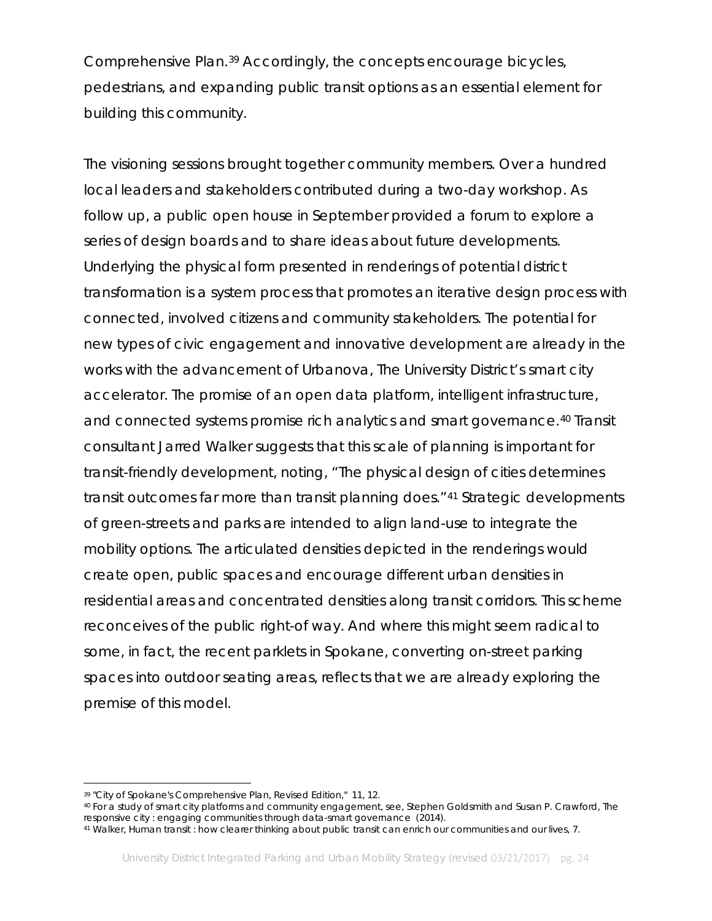Comprehensive Plan.[39](#page-23-0) Accordingly, the concepts encourage bicycles, pedestrians, and expanding public transit options as an essential element for building this community.

The visioning sessions brought together community members. Over a hundred local leaders and stakeholders contributed during a two-day workshop. As follow up, a public open house in September provided a forum to explore a series of design boards and to share ideas about future developments. Underlying the physical form presented in renderings of potential district transformation is a system process that promotes an iterative design process with connected, involved citizens and community stakeholders. The potential for new types of civic engagement and innovative development are already in the works with the advancement of Urbanova, The University District's smart city accelerator. The promise of an open data platform, intelligent infrastructure, and connected systems promise rich analytics and smart governance.[40](#page-23-1) Transit consultant Jarred Walker suggests that this scale of planning is important for transit-friendly development, noting, "The physical design of cities determines transit outcomes far more than transit planning does."[41](#page-23-2) Strategic developments of green-streets and parks are intended to align land-use to integrate the mobility options. The articulated densities depicted in the renderings would create open, public spaces and encourage different urban densities in residential areas and concentrated densities along transit corridors. This scheme reconceives of the public right-of way. And where this might seem radical to some, in fact, the recent parklets in Spokane, converting on-street parking spaces into outdoor seating areas, reflects that we are already exploring the premise of this model.

 $\overline{a}$ 

<sup>39</sup> "City of Spokane's Comprehensive Plan, Revised Edition," 11, 12.

<span id="page-23-1"></span><span id="page-23-0"></span><sup>40</sup> For a study of smart city platforms and community engagement, see, Stephen Goldsmith and Susan P. Crawford, *The responsive city : engaging communities through data-smart governance* (2014).

<span id="page-23-2"></span><sup>41</sup> Walker, *Human transit : how clearer thinking about public transit can enrich our communities and our lives*, 7.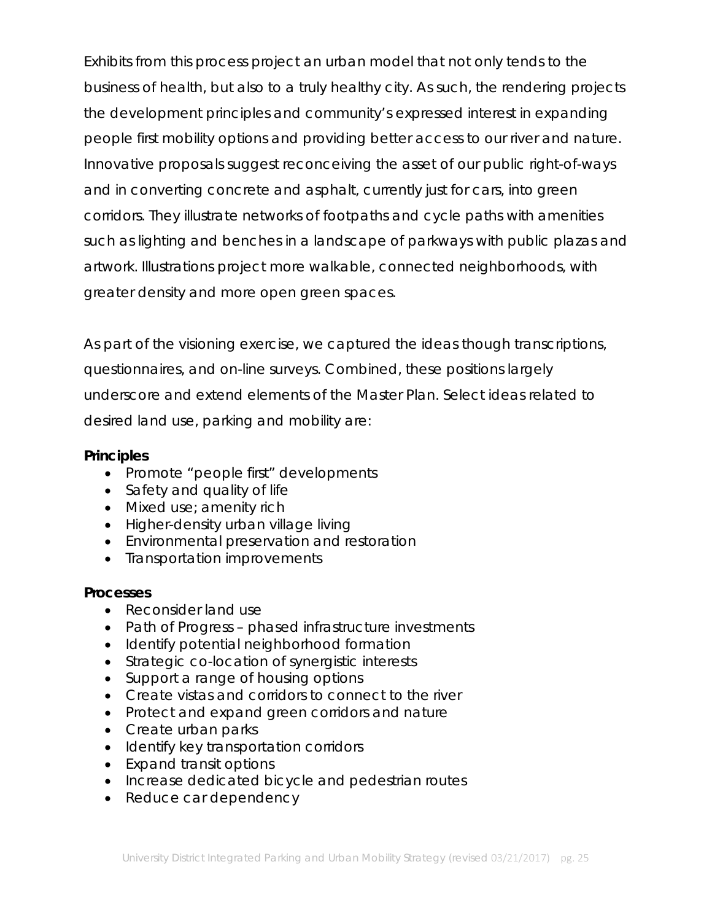Exhibits from this process project an urban model that not only tends to the business of health, but also to a truly healthy city. As such, the rendering projects the development principles and community's expressed interest in expanding people first mobility options and providing better access to our river and nature. Innovative proposals suggest reconceiving the asset of our public right-of-ways and in converting concrete and asphalt, currently just for cars, into green corridors. They illustrate networks of footpaths and cycle paths with amenities such as lighting and benches in a landscape of parkways with public plazas and artwork. Illustrations project more walkable, connected neighborhoods, with greater density and more open green spaces.

As part of the visioning exercise, we captured the ideas though transcriptions, questionnaires, and on-line surveys. Combined, these positions largely underscore and extend elements of the Master Plan. Select ideas related to desired land use, parking and mobility are:

## **Principles**

- Promote "people first" developments
- Safety and quality of life
- Mixed use; amenity rich
- Higher-density urban village living
- Environmental preservation and restoration
- Transportation improvements

#### **Processes**

- Reconsider land use
- Path of Progress phased infrastructure investments
- Identify potential neighborhood formation
- Strategic co-location of synergistic interests
- Support a range of housing options
- Create vistas and corridors to connect to the river
- Protect and expand green corridors and nature
- Create urban parks
- Identify key transportation corridors
- Expand transit options
- Increase dedicated bicycle and pedestrian routes
- Reduce car dependency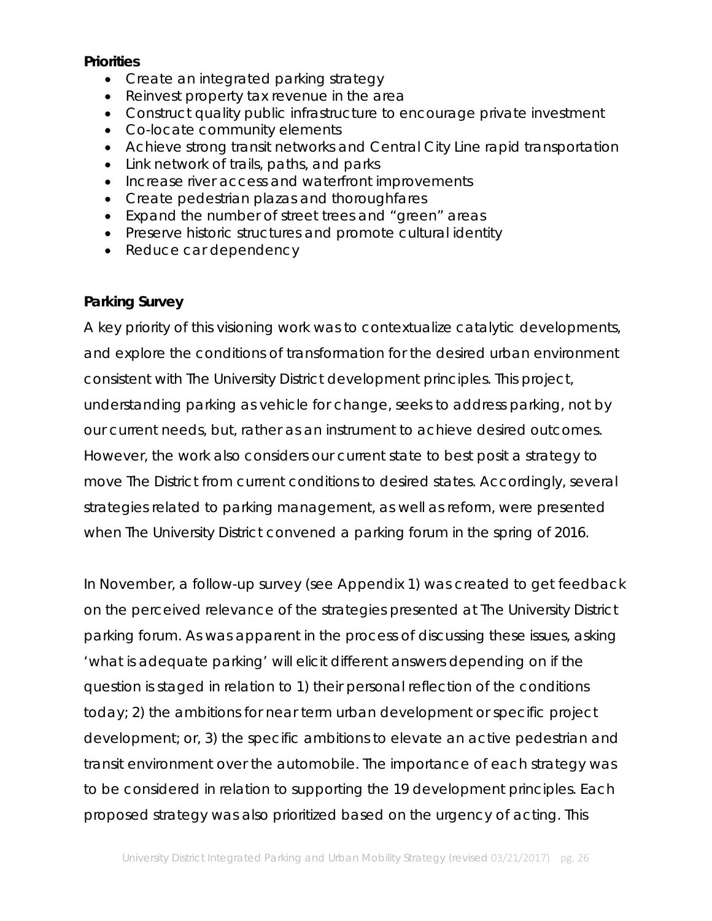#### **Priorities**

- Create an integrated parking strategy
- Reinvest property tax revenue in the area
- Construct quality public infrastructure to encourage private investment
- Co-locate community elements
- Achieve strong transit networks and Central City Line rapid transportation
- Link network of trails, paths, and parks
- Increase river access and waterfront improvements
- Create pedestrian plazas and thoroughfares
- Expand the number of street trees and "green" areas
- Preserve historic structures and promote cultural identity
- Reduce car dependency

## <span id="page-25-0"></span>**Parking Survey**

A key priority of this visioning work was to contextualize catalytic developments, and explore the conditions of transformation for the desired urban environment consistent with The University District development principles. This project, understanding parking as vehicle for change, seeks to address parking, not by our current needs, but, rather as an instrument to achieve desired outcomes. However, the work also considers our current state to best posit a strategy to move The District from current conditions to desired states. Accordingly, several strategies related to parking management, as well as reform, were presented when The University District convened a parking forum in the spring of 2016.

In November, a follow-up survey (see Appendix 1) was created to get feedback on the perceived relevance of the strategies presented at The University District parking forum. As was apparent in the process of discussing these issues, asking 'what is adequate parking' will elicit different answers depending on if the question is staged in relation to 1) their personal reflection of the conditions today; 2) the ambitions for near term urban development or specific project development; or, 3) the specific ambitions to elevate an active pedestrian and transit environment over the automobile. The importance of each strategy was to be considered in relation to supporting the 19 development principles. Each proposed strategy was also prioritized based on the urgency of acting. This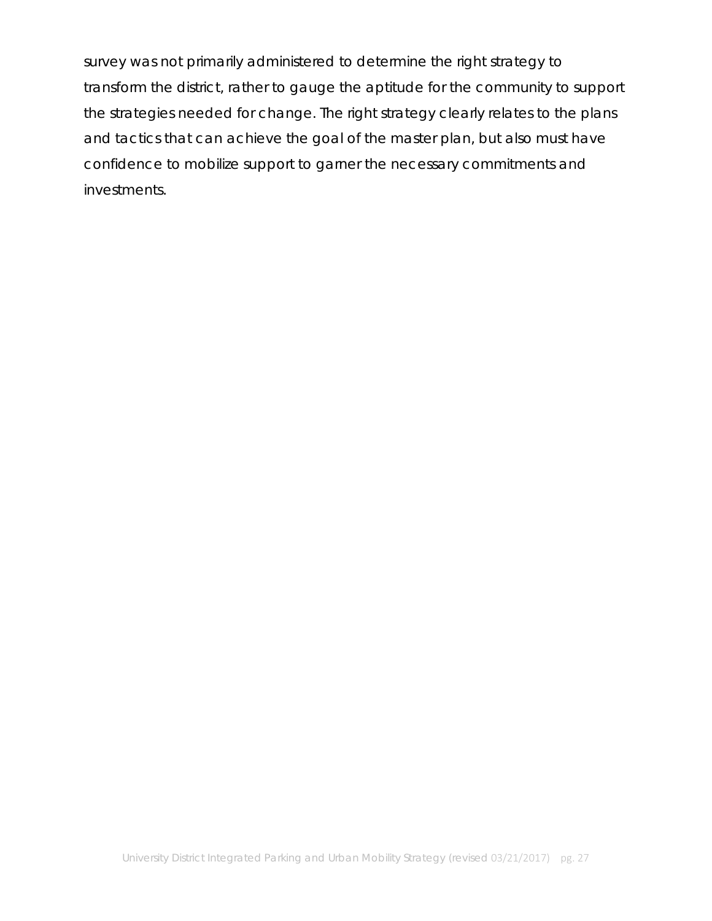survey was not primarily administered to determine the right strategy to transform the district, rather to gauge the aptitude for the community to support the strategies needed for change. The right strategy clearly relates to the plans and tactics that can achieve the goal of the master plan, but also must have confidence to mobilize support to garner the necessary commitments and investments.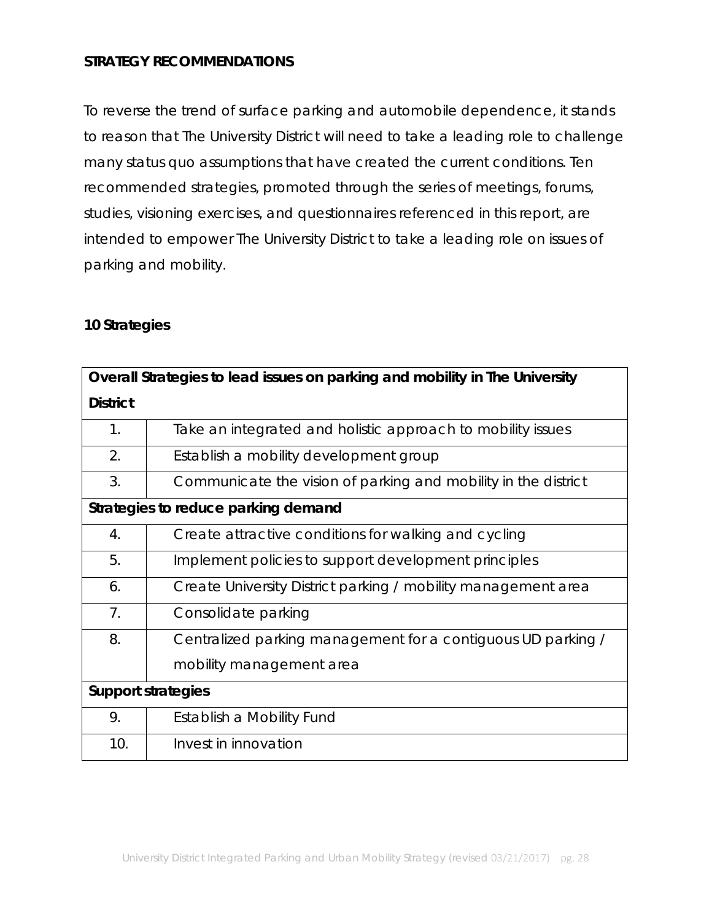#### <span id="page-27-0"></span>**STRATEGY RECOMMENDATIONS**

To reverse the trend of surface parking and automobile dependence, it stands to reason that The University District will need to take a leading role to challenge many status quo assumptions that have created the current conditions. Ten recommended strategies, promoted through the series of meetings, forums, studies, visioning exercises, and questionnaires referenced in this report, are intended to empower The University District to take a leading role on issues of parking and mobility.

#### <span id="page-27-1"></span>**10 Strategies**

| Overall Strategies to lead issues on parking and mobility in The University |                                                                |  |
|-----------------------------------------------------------------------------|----------------------------------------------------------------|--|
| <b>District</b>                                                             |                                                                |  |
| 1.                                                                          | Take an integrated and holistic approach to mobility issues    |  |
| 2.                                                                          | Establish a mobility development group                         |  |
| 3.                                                                          | Communicate the vision of parking and mobility in the district |  |
| Strategies to reduce parking demand                                         |                                                                |  |
| 4.                                                                          | Create attractive conditions for walking and cycling           |  |
| 5.                                                                          | Implement policies to support development principles           |  |
| 6.                                                                          | Create University District parking / mobility management area  |  |
| 7.                                                                          | Consolidate parking                                            |  |
| 8.                                                                          | Centralized parking management for a contiguous UD parking /   |  |
|                                                                             | mobility management area                                       |  |
| <b>Support strategies</b>                                                   |                                                                |  |
| 9.                                                                          | Establish a Mobility Fund                                      |  |
| 10.                                                                         | Invest in innovation                                           |  |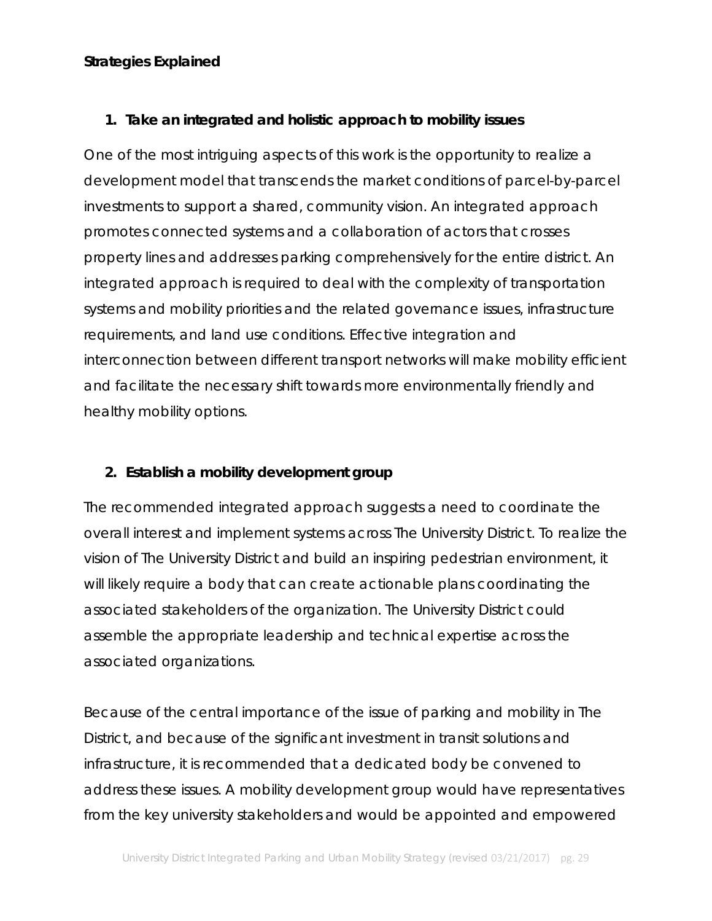## <span id="page-28-0"></span>**Strategies Explained**

## **1. Take an integrated and holistic approach to mobility issues**

One of the most intriguing aspects of this work is the opportunity to realize a development model that transcends the market conditions of parcel-by-parcel investments to support a shared, community vision. An integrated approach promotes connected systems and a collaboration of actors that crosses property lines and addresses parking comprehensively for the entire district. An integrated approach is required to deal with the complexity of transportation systems and mobility priorities and the related governance issues, infrastructure requirements, and land use conditions. Effective integration and interconnection between different transport networks will make mobility efficient and facilitate the necessary shift towards more environmentally friendly and healthy mobility options.

## **2. Establish a mobility development group**

The recommended integrated approach suggests a need to coordinate the overall interest and implement systems across The University District. To realize the vision of The University District and build an inspiring pedestrian environment, it will likely require a body that can create actionable plans coordinating the associated stakeholders of the organization. The University District could assemble the appropriate leadership and technical expertise across the associated organizations.

Because of the central importance of the issue of parking and mobility in The District, and because of the significant investment in transit solutions and infrastructure, it is recommended that a dedicated body be convened to address these issues. A mobility development group would have representatives from the key university stakeholders and would be appointed and empowered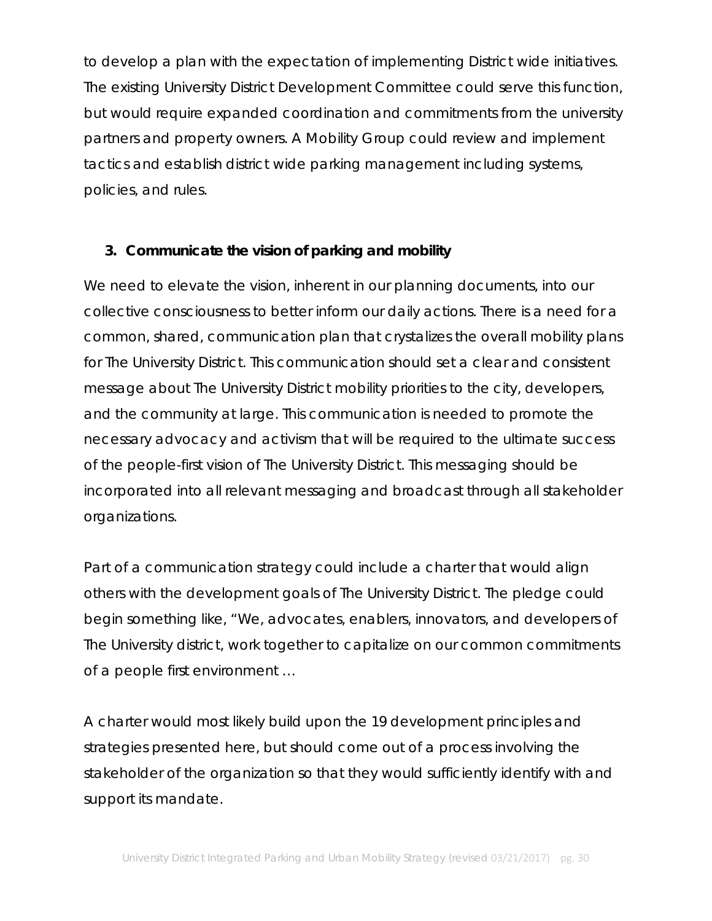to develop a plan with the expectation of implementing District wide initiatives. The existing University District Development Committee could serve this function, but would require expanded coordination and commitments from the university partners and property owners. A Mobility Group could review and implement tactics and establish district wide parking management including systems, policies, and rules.

## **3. Communicate the vision of parking and mobility**

We need to elevate the vision, inherent in our planning documents, into our collective consciousness to better inform our daily actions. There is a need for a common, shared, communication plan that crystalizes the overall mobility plans for The University District. This communication should set a clear and consistent message about The University District mobility priorities to the city, developers, and the community at large. This communication is needed to promote the necessary advocacy and activism that will be required to the ultimate success of the people-first vision of The University District. This messaging should be incorporated into all relevant messaging and broadcast through all stakeholder organizations.

Part of a communication strategy could include a charter that would align others with the development goals of The University District. The pledge could begin something like, "We, advocates, enablers, innovators, and developers of The University district, work together to capitalize on our common commitments of a people first environment …

A charter would most likely build upon the 19 development principles and strategies presented here, but should come out of a process involving the stakeholder of the organization so that they would sufficiently identify with and support its mandate.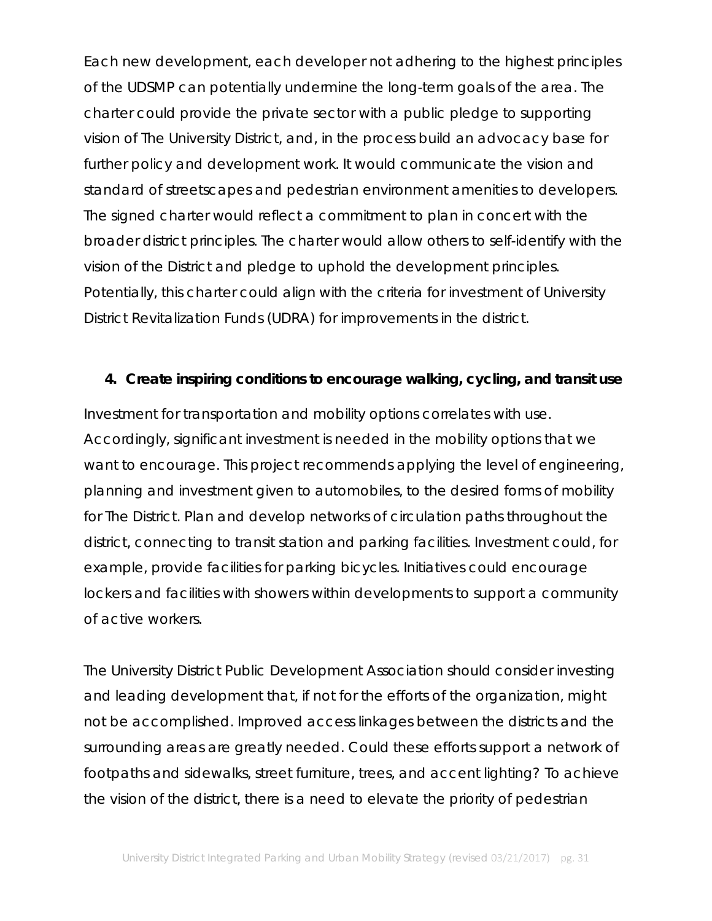Each new development, each developer not adhering to the highest principles of the *UDSMP* can potentially undermine the long-term goals of the area. The charter could provide the private sector with a public pledge to supporting vision of The University District, and, in the process build an advocacy base for further policy and development work. It would communicate the vision and standard of streetscapes and pedestrian environment amenities to developers. The signed charter would reflect a commitment to plan in concert with the broader district principles. The charter would allow others to self-identify with the vision of the District and pledge to uphold the development principles. Potentially, this charter could align with the criteria for investment of University District Revitalization Funds (UDRA) for improvements in the district.

#### **4. Create inspiring conditions to encourage walking, cycling, and transit use**

Investment for transportation and mobility options correlates with use. Accordingly, significant investment is needed in the mobility options that we want to encourage. This project recommends applying the level of engineering, planning and investment given to automobiles, to the desired forms of mobility for The District. Plan and develop networks of circulation paths throughout the district, connecting to transit station and parking facilities. Investment could, for example, provide facilities for parking bicycles. Initiatives could encourage lockers and facilities with showers within developments to support a community of active workers.

The University District Public Development Association should consider investing and leading development that, if not for the efforts of the organization, might not be accomplished. Improved access linkages between the districts and the surrounding areas are greatly needed. Could these efforts support a network of footpaths and sidewalks, street furniture, trees, and accent lighting? To achieve the vision of the district, there is a need to elevate the priority of pedestrian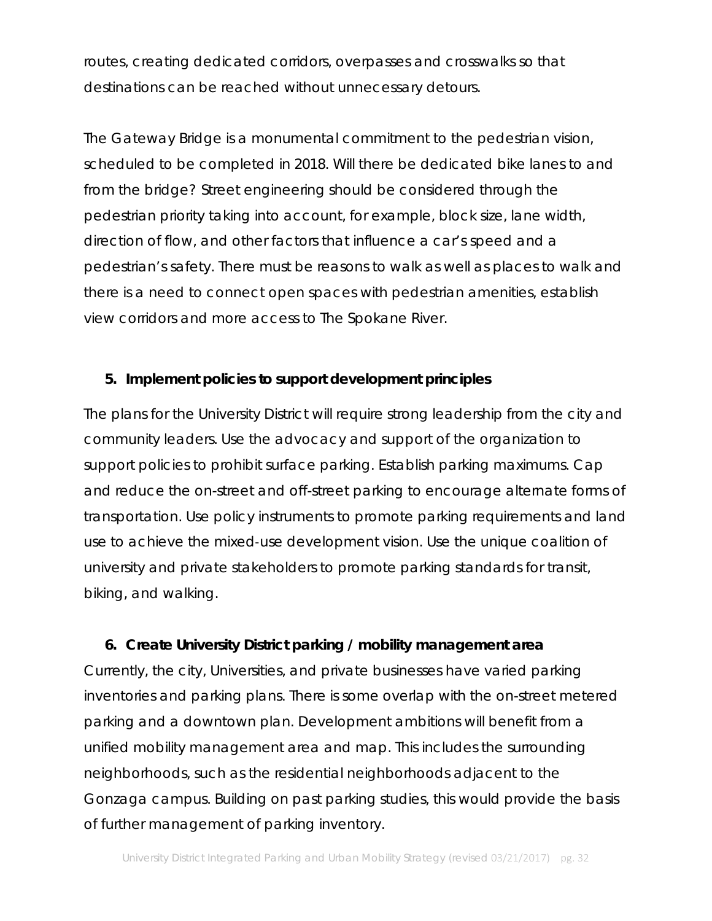routes, creating dedicated corridors, overpasses and crosswalks so that destinations can be reached without unnecessary detours.

The Gateway Bridge is a monumental commitment to the pedestrian vision, scheduled to be completed in 2018. Will there be dedicated bike lanes to and from the bridge? Street engineering should be considered through the pedestrian priority taking into account, for example, block size, lane width, direction of flow, and other factors that influence a car's speed and a pedestrian's safety. There must be reasons to walk as well as places to walk and there is a need to connect open spaces with pedestrian amenities, establish view corridors and more access to The Spokane River.

## **5. Implement policies to support development principles**

The plans for the University District will require strong leadership from the city and community leaders. Use the advocacy and support of the organization to support policies to prohibit surface parking. Establish parking maximums. Cap and reduce the on-street and off-street parking to encourage alternate forms of transportation. Use policy instruments to promote parking requirements and land use to achieve the mixed‐use development vision. Use the unique coalition of university and private stakeholders to promote parking standards for transit, biking, and walking.

## **6. Create University District parking / mobility management area**

Currently, the city, Universities, and private businesses have varied parking inventories and parking plans. There is some overlap with the on-street metered parking and a downtown plan. Development ambitions will benefit from a unified mobility management area and map. This includes the surrounding neighborhoods, such as the residential neighborhoods adjacent to the Gonzaga campus. Building on past parking studies, this would provide the basis of further management of parking inventory.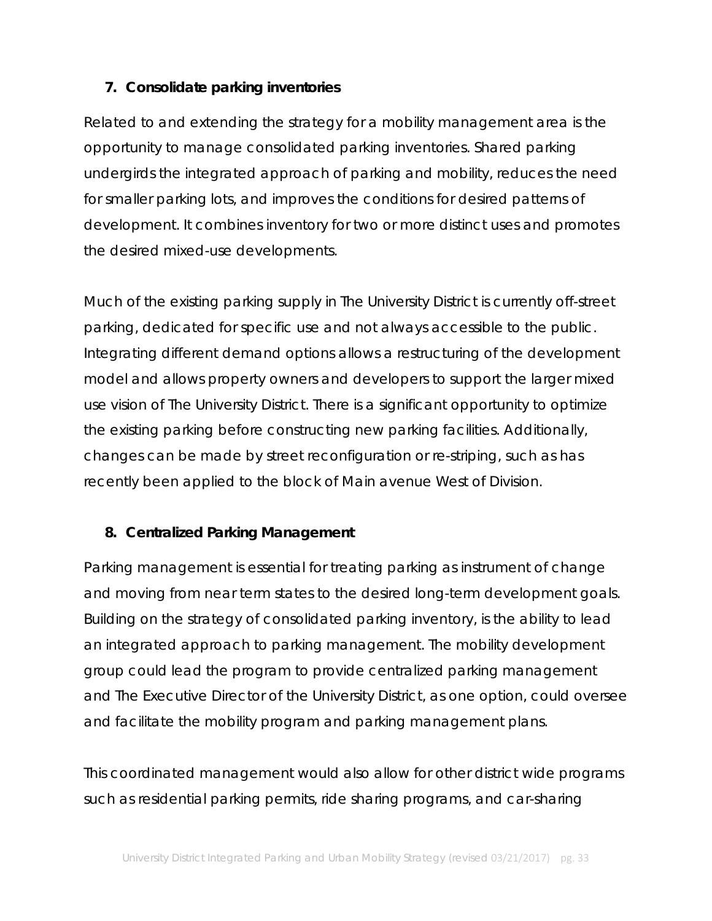## **7. Consolidate parking inventories**

Related to and extending the strategy for a mobility management area is the opportunity to manage consolidated parking inventories. Shared parking undergirds the integrated approach of parking and mobility, reduces the need for smaller parking lots, and improves the conditions for desired patterns of development. It combines inventory for two or more distinct uses and promotes the desired mixed-use developments.

Much of the existing parking supply in The University District is currently off-street parking, dedicated for specific use and not always accessible to the public. Integrating different demand options allows a restructuring of the development model and allows property owners and developers to support the larger mixed use vision of The University District. There is a significant opportunity to optimize the existing parking before constructing new parking facilities. Additionally, changes can be made by street reconfiguration or re-striping, such as has recently been applied to the block of Main avenue West of Division.

## **8. Centralized Parking Management**

Parking management is essential for treating parking as instrument of change and moving from near term states to the desired long-term development goals. Building on the strategy of consolidated parking inventory, is the ability to lead an integrated approach to parking management. The mobility development group could lead the program to provide centralized parking management and The Executive Director of the University District, as one option, could oversee and facilitate the mobility program and parking management plans.

This coordinated management would also allow for other district wide programs such as residential parking permits, ride sharing programs, and car-sharing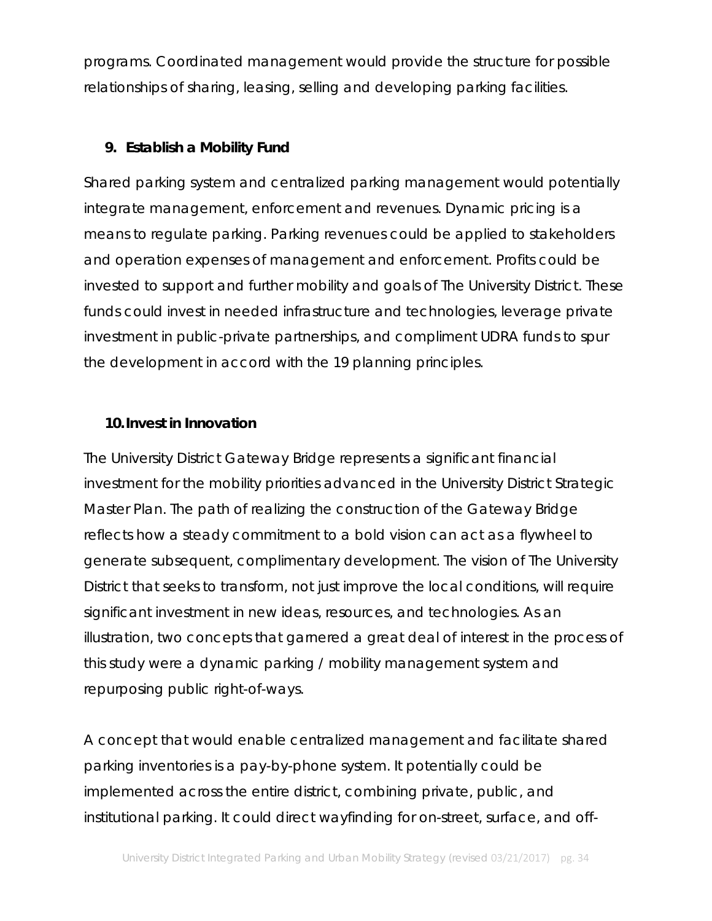programs. Coordinated management would provide the structure for possible relationships of sharing, leasing, selling and developing parking facilities.

## **9. Establish a Mobility Fund**

Shared parking system and centralized parking management would potentially integrate management, enforcement and revenues. Dynamic pricing is a means to regulate parking. Parking revenues could be applied to stakeholders and operation expenses of management and enforcement. Profits could be invested to support and further mobility and goals of The University District. These funds could invest in needed infrastructure and technologies, leverage private investment in public-private partnerships, and compliment UDRA funds to spur the development in accord with the 19 planning principles.

## **10.Invest in Innovation**

The University District Gateway Bridge represents a significant financial investment for the mobility priorities advanced in the University District Strategic Master Plan. The path of realizing the construction of the Gateway Bridge reflects how a steady commitment to a bold vision can act as a flywheel to generate subsequent, complimentary development. The vision of The University District that seeks to transform, not just improve the local conditions, will require significant investment in new ideas, resources, and technologies. As an illustration, two concepts that garnered a great deal of interest in the process of this study were a dynamic parking / mobility management system and repurposing public right-of-ways.

A concept that would enable centralized management and facilitate shared parking inventories is a pay-by-phone system. It potentially could be implemented across the entire district, combining private, public, and institutional parking. It could direct wayfinding for on-street, surface, and off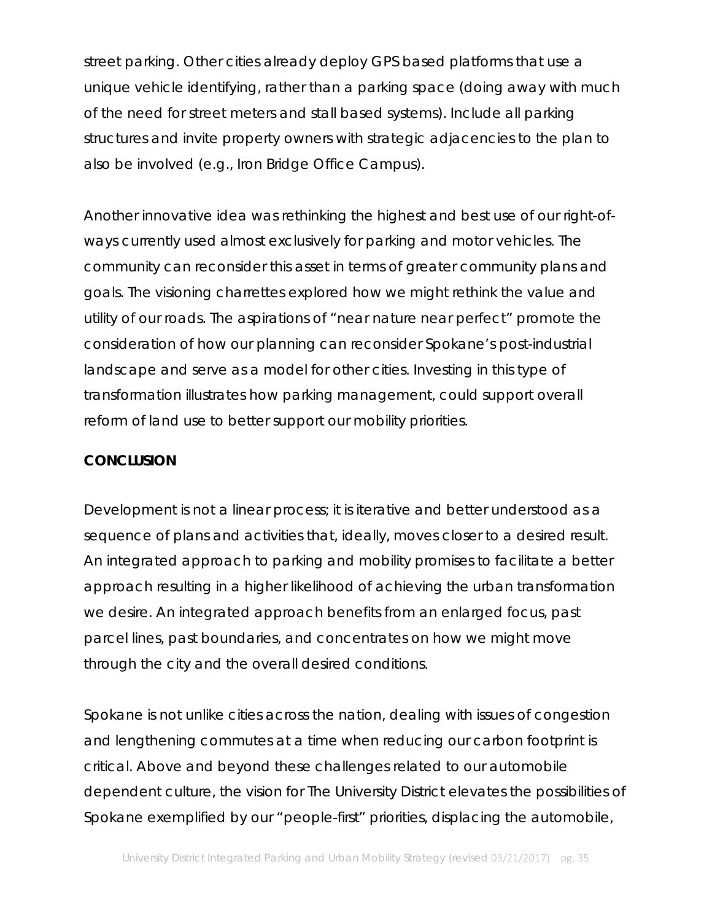street parking. Other cities already deploy GPS based platforms that use a unique vehicle identifying, rather than a parking space (doing away with much of the need for street meters and stall based systems). Include all parking structures and invite property owners with strategic adjacencies to the plan to also be involved (e.g., Iron Bridge Office Campus).

Another innovative idea was rethinking the highest and best use of our right-ofways currently used almost exclusively for parking and motor vehicles. The community can reconsider this asset in terms of greater community plans and goals. The visioning charrettes explored how we might rethink the value and utility of our roads. The aspirations of "near nature near perfect" promote the consideration of how our planning can reconsider Spokane's post-industrial landscape and serve as a model for other cities. Investing in this type of transformation illustrates how parking management, could support overall reform of land use to better support our mobility priorities.

## <span id="page-34-0"></span>**CONCLUSION**

Development is not a linear process; it is iterative and better understood as a sequence of plans and activities that, ideally, moves closer to a desired result. An integrated approach to parking and mobility promises to facilitate a better approach resulting in a higher likelihood of achieving the urban transformation we desire. An integrated approach benefits from an enlarged focus, past parcel lines, past boundaries, and concentrates on how we might move through the city and the overall desired conditions.

Spokane is not unlike cities across the nation, dealing with issues of congestion and lengthening commutes at a time when reducing our carbon footprint is critical. Above and beyond these challenges related to our automobile dependent culture, the vision for The University District elevates the possibilities of Spokane exemplified by our "people-first" priorities, displacing the automobile,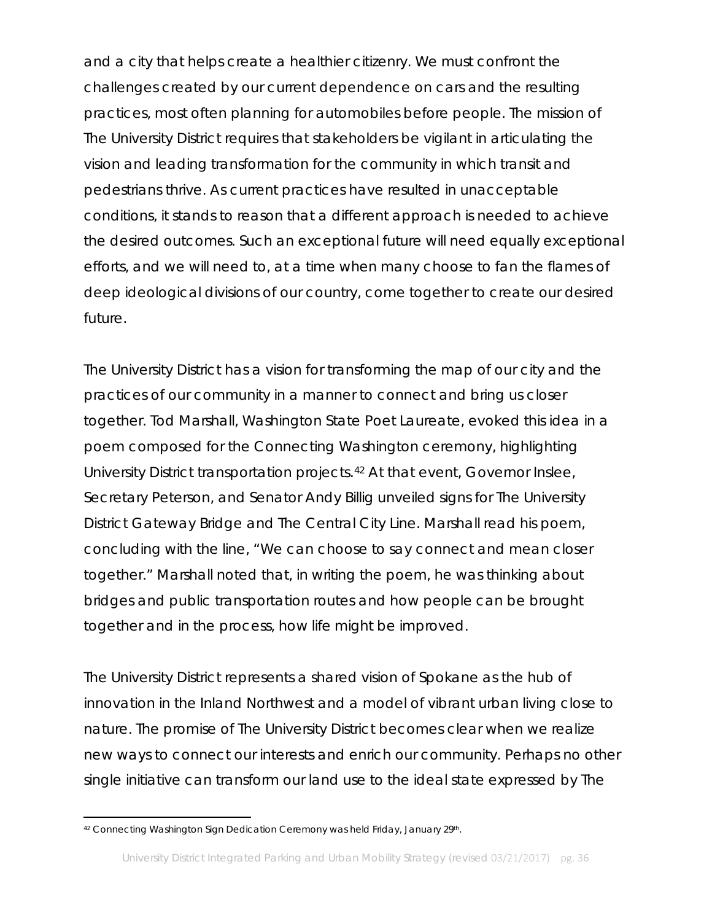and a city that helps create a healthier citizenry. We must confront the challenges created by our current dependence on cars and the resulting practices, most often planning for automobiles before people. The mission of The University District requires that stakeholders be vigilant in articulating the vision and leading transformation for the community in which transit and pedestrians thrive. As current practices have resulted in unacceptable conditions, it stands to reason that a different approach is needed to achieve the desired outcomes. Such an exceptional future will need equally exceptional efforts, and we will need to, at a time when many choose to fan the flames of deep ideological divisions of our country, come together to create our desired future.

The University District has a vision for transforming the map of our city and the practices of our community in a manner to connect and bring us closer together. Tod Marshall, Washington State Poet Laureate, evoked this idea in a poem composed for the Connecting Washington ceremony, highlighting University District transportation projects.[42](#page-35-0) At that event, Governor Inslee, Secretary Peterson, and Senator Andy Billig unveiled signs for The University District Gateway Bridge and The Central City Line. Marshall read his poem, concluding with the line, "We can choose to say connect and mean closer together." Marshall noted that, in writing the poem, he was thinking about bridges and public transportation routes and how people can be brought together and in the process, how life might be improved.

The University District represents a shared vision of Spokane as the hub of innovation in the Inland Northwest and a model of vibrant urban living close to nature. The promise of The University District becomes clear when we realize new ways to connect our interests and enrich our community. Perhaps no other single initiative can transform our land use to the ideal state expressed by The

l

<span id="page-35-0"></span><sup>42</sup> Connecting Washington Sign Dedication Ceremony was held Friday, January 29th.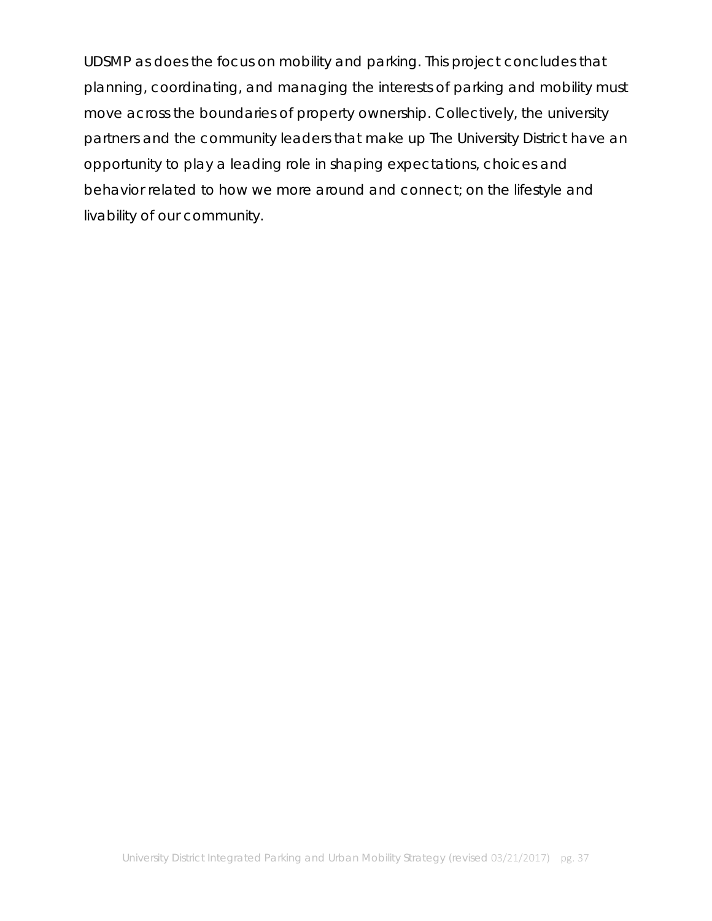UDSMP as does the focus on mobility and parking. This project concludes that planning, coordinating, and managing the interests of parking and mobility must move across the boundaries of property ownership. Collectively, the university partners and the community leaders that make up The University District have an opportunity to play a leading role in shaping expectations, choices and behavior related to how we more around and connect; on the lifestyle and livability of our community.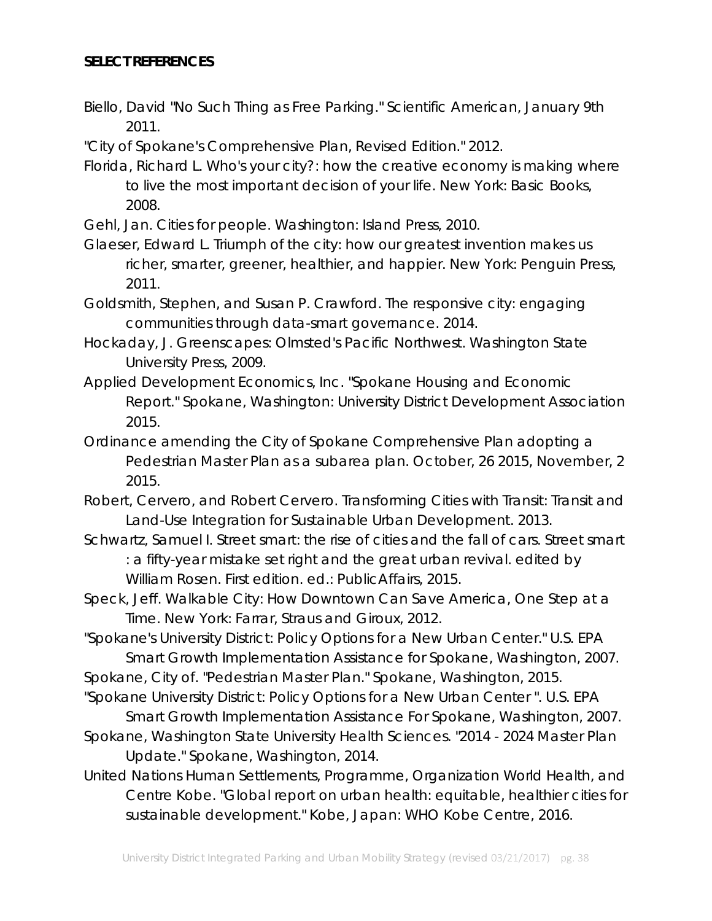## <span id="page-37-0"></span>**SELECT REFERENCES**

Biello, David "No Such Thing as Free Parking." *Scientific American*, January 9th 2011.

"City of Spokane's Comprehensive Plan, Revised Edition." 2012.

Florida, Richard L. *Who's your city?: how the creative economy is making where to live the most important decision of your life*. New York: Basic Books, 2008.

Gehl, Jan. *Cities for people*. Washington: Island Press, 2010.

Glaeser, Edward L. *Triumph of the city: how our greatest invention makes us richer, smarter, greener, healthier, and happier*. New York: Penguin Press, 2011.

Goldsmith, Stephen, and Susan P. Crawford. *The responsive city: engaging communities through data-smart governance*. 2014.

Hockaday, J. *Greenscapes: Olmsted's Pacific Northwest*. Washington State University Press, 2009.

Applied Development Economics, Inc. "Spokane Housing and Economic Report." Spokane, Washington: University District Development Association 2015.

*Ordinance amending the City of Spokane Comprehensive Plan adopting a Pedestrian Master Plan as a subarea plan*. October, 26 2015, November, 2 2015.

Robert, Cervero, and Robert Cervero. *Transforming Cities with Transit: Transit and Land-Use Integration for Sustainable Urban Development*. 2013.

Schwartz, Samuel I. *Street smart: the rise of cities and the fall of cars*. Street smart : a fifty-year mistake set right and the great urban revival. edited by William Rosen. First edition. ed.: PublicAffairs, 2015.

Speck, Jeff. *Walkable City: How Downtown Can Save America, One Step at a Time*. New York: Farrar, Straus and Giroux, 2012.

"Spokane's University District: Policy Options for a New Urban Center." U.S. EPA Smart Growth Implementation Assistance for Spokane, Washington, 2007. Spokane, City of. "Pedestrian Master Plan." Spokane, Washington, 2015.

"Spokane University District: Policy Options for a New Urban Center ". U.S. EPA

- Smart Growth Implementation Assistance For Spokane, Washington, 2007. Spokane, Washington State University Health Sciences. "2014 - 2024 Master Plan Update." Spokane, Washington, 2014.
- United Nations Human Settlements, Programme, Organization World Health, and Centre Kobe. "Global report on urban health: equitable, healthier cities for sustainable development." Kobe, Japan: WHO Kobe Centre, 2016.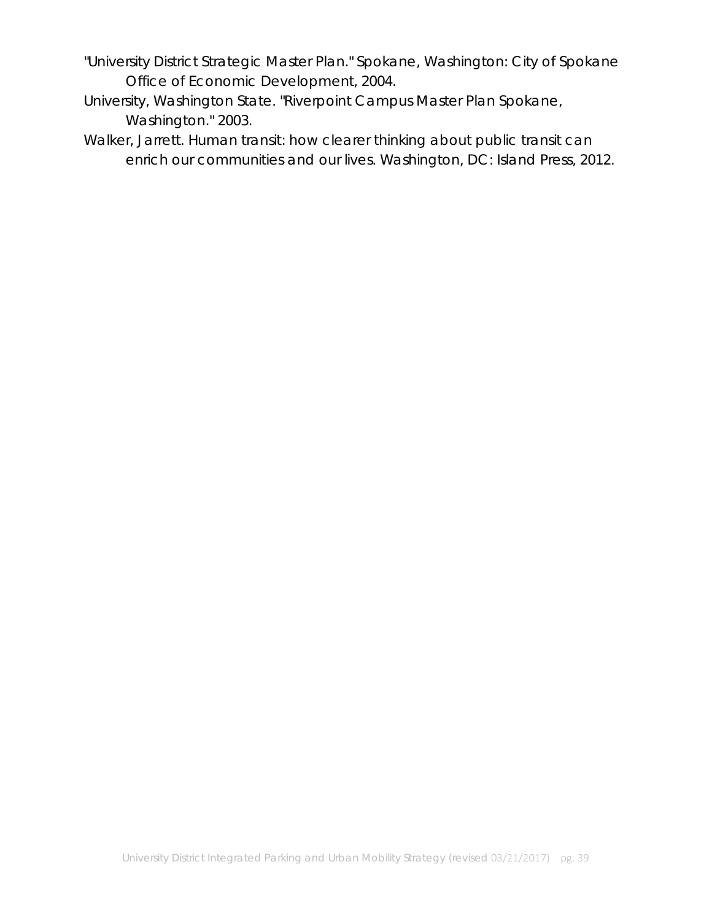- "University District Strategic Master Plan." Spokane, Washington: City of Spokane Office of Economic Development, 2004.
- University, Washington State. "Riverpoint Campus Master Plan Spokane, Washington." 2003.
- Walker, Jarrett. *Human transit: how clearer thinking about public transit can enrich our communities and our lives*. Washington, DC: Island Press, 2012.